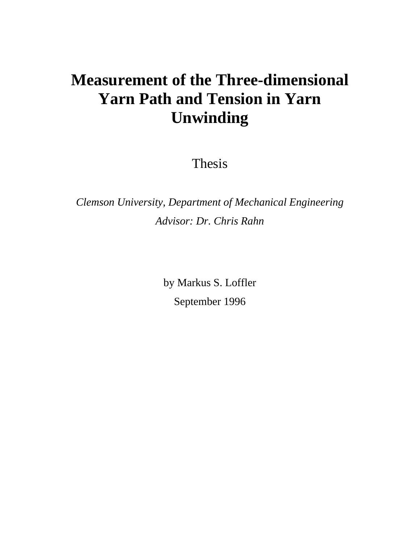# **Measurement of the Three-dimensional Yarn Path and Tension in Yarn Unwinding**

Thesis

*Clemson University, Department of Mechanical Engineering Advisor: Dr. Chris Rahn* 

> by Markus S. Loffler September 1996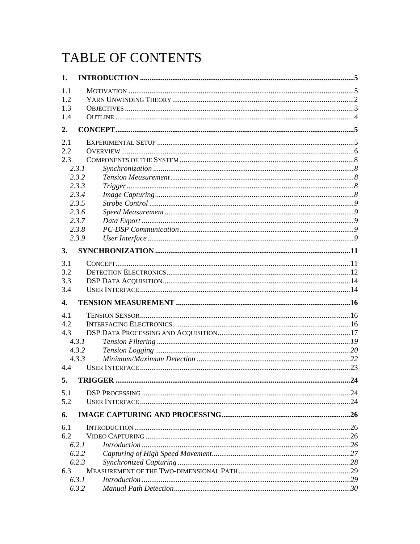# TABLE OF CONTENTS

| 1.           |                             |    |
|--------------|-----------------------------|----|
| 1.1          |                             |    |
| 1.2          |                             |    |
| 1.3          |                             |    |
| 1.4          |                             |    |
| 2.           |                             |    |
| 2.1          |                             |    |
| 2.2          |                             |    |
| 2.3          |                             |    |
|              | 2.3.1                       |    |
|              | 2.3.2                       |    |
|              | 2.3.3                       |    |
|              | 2.3.4                       |    |
|              | 2.3.5                       |    |
|              | 2.3.6                       |    |
|              | 2.3.7                       |    |
|              | 2.3.8                       |    |
|              | 2.3.9                       |    |
| 3.           |                             |    |
| 3.1          |                             |    |
| 3.2          |                             |    |
| 3.3          |                             |    |
| 3.4          |                             |    |
| $\mathbf{4}$ |                             |    |
| 4.1          |                             |    |
| 4.2          |                             |    |
| 4.3          |                             |    |
|              | 4.3.1                       |    |
|              | 4.3.2                       |    |
|              | 4.3.3                       |    |
| 4.4          |                             |    |
| 5.           | TRIGGER                     | 24 |
| 5.1          |                             |    |
| 5.2          |                             |    |
| 6.           |                             |    |
|              |                             |    |
| 6.1<br>6.2   |                             |    |
|              | 6.2.1                       |    |
|              | 6.2.2                       |    |
|              | 6.2.3                       |    |
| 6.3          |                             |    |
|              | 6.3.1<br>Introduction 1, 29 |    |
|              | 6.3.2                       |    |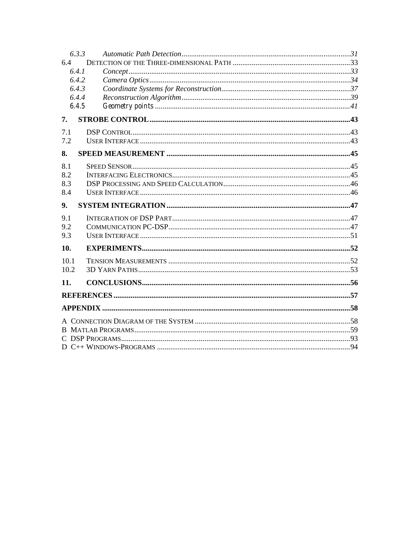|      | 6.3.3 |  |
|------|-------|--|
| 6.4  |       |  |
|      | 6.4.1 |  |
|      | 6.4.2 |  |
|      | 6.4.3 |  |
|      | 6.4.4 |  |
|      | 6.4.5 |  |
| 7.   |       |  |
| 7.1  |       |  |
| 7.2  |       |  |
| 8.   |       |  |
| 8.1  |       |  |
| 8.2  |       |  |
| 8.3  |       |  |
| 8.4  |       |  |
|      |       |  |
| 9.   |       |  |
| 9.1  |       |  |
| 9.2  |       |  |
| 9.3  |       |  |
| 10.  |       |  |
| 10.1 |       |  |
| 10.2 |       |  |
| 11.  |       |  |
|      |       |  |
|      |       |  |
|      |       |  |
|      |       |  |
|      |       |  |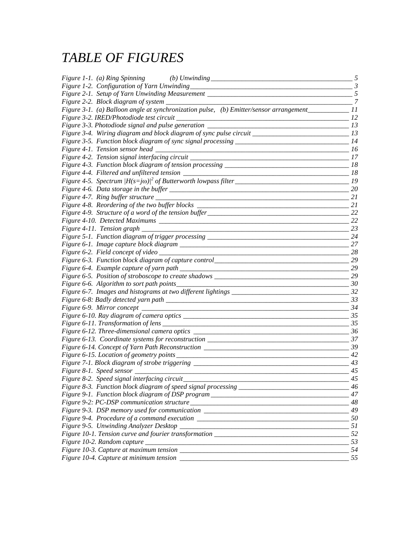## *TABLE OF FIGURES*

| <i>Figure 1-1. (a) Ring Spinning (b) Unwinding ___________________________________</i>                         | 5              |
|----------------------------------------------------------------------------------------------------------------|----------------|
|                                                                                                                | $\mathfrak{Z}$ |
| Figure 2-1. Setup of Yarn Unwinding Measurement _________________________________                              | 5              |
|                                                                                                                | 7              |
| Figure 3-1. (a) Balloon angle at synchronization pulse, (b) Emitter/sensor arrangement_____________11          |                |
|                                                                                                                | 12             |
|                                                                                                                | 13             |
| Figure 3-4. Wiring diagram and block diagram of sync pulse circuit _________________________________           | 13             |
|                                                                                                                | 14             |
|                                                                                                                | -16            |
| Figure 4-2. Tension signal interfacing circuit ________                                                        | 17             |
|                                                                                                                | 18             |
|                                                                                                                | 18             |
|                                                                                                                | 19             |
|                                                                                                                | 20             |
|                                                                                                                | 21             |
|                                                                                                                | 21             |
|                                                                                                                | 22             |
|                                                                                                                | 22             |
|                                                                                                                | 23             |
| Figure 5-1. Function diagram of trigger processing _____________________________                               | 24             |
|                                                                                                                | 27             |
| Figure 6-2. Field concept of video                                                                             | -28            |
| Figure 6-3. Function block diagram of capture control____________________________                              | 29             |
|                                                                                                                | 29             |
| Figure 6-5. Position of stroboscope to create shadows __________________________                               | 29             |
| Figure 6-6. Algorithm to sort path points<br><u> 1989 - Johann Barbara, martin da kasar Amerikaan kasar da</u> | 30             |
|                                                                                                                | 32             |
|                                                                                                                | 33             |
|                                                                                                                | 34             |
|                                                                                                                | 35             |
|                                                                                                                | 35             |
|                                                                                                                | 36             |
| Figure 6-13. Coordinate systems for reconstruction _____________________________                               | 37             |
|                                                                                                                |                |
|                                                                                                                | 42             |
| Figure 7-1. Block diagram of strobe triggering _________________________________                               | 43             |
|                                                                                                                | 45             |
| Figure 8-2. Speed signal interfacing circuit                                                                   | 45             |
|                                                                                                                | 46             |
| Figure 9-1. Function block diagram of DSP program _______________________________                              | 47             |
|                                                                                                                |                |
| Figure 9-3. DSP memory used for communication ___________________________________                              | 49             |
|                                                                                                                |                |
|                                                                                                                |                |
|                                                                                                                | 52             |
|                                                                                                                |                |
|                                                                                                                |                |
|                                                                                                                |                |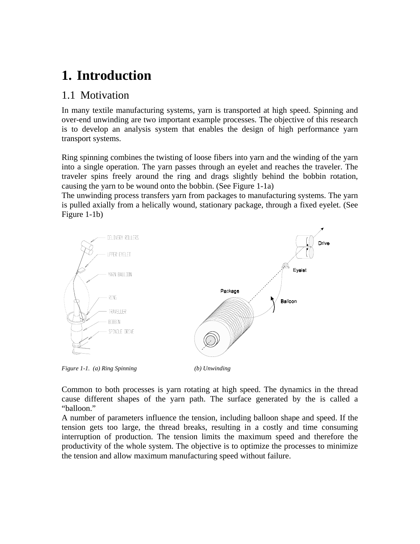## **1. Introduction**

### 1.1 Motivation

In many textile manufacturing systems, yarn is transported at high speed. Spinning and over-end unwinding are two important example processes. The objective of this research is to develop an analysis system that enables the design of high performance yarn transport systems.

Ring spinning combines the twisting of loose fibers into yarn and the winding of the yarn into a single operation. The yarn passes through an eyelet and reaches the traveler. The traveler spins freely around the ring and drags slightly behind the bobbin rotation, causing the yarn to be wound onto the bobbin. (See Figure 1-1a)

The unwinding process transfers yarn from packages to manufacturing systems. The yarn is pulled axially from a helically wound, stationary package, through a fixed eyelet. (See Figure 1-1b)



*Figure 1-1. (a) Ring Spinning (b) Unwinding* 

Common to both processes is yarn rotating at high speed. The dynamics in the thread cause different shapes of the yarn path. The surface generated by the is called a "balloon."

A number of parameters influence the tension, including balloon shape and speed. If the tension gets too large, the thread breaks, resulting in a costly and time consuming interruption of production. The tension limits the maximum speed and therefore the productivity of the whole system. The objective is to optimize the processes to minimize the tension and allow maximum manufacturing speed without failure.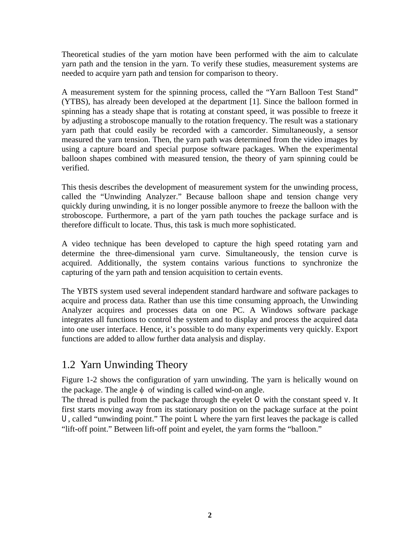Theoretical studies of the yarn motion have been performed with the aim to calculate yarn path and the tension in the yarn. To verify these studies, measurement systems are needed to acquire yarn path and tension for comparison to theory.

A measurement system for the spinning process, called the "Yarn Balloon Test Stand" (YTBS), has already been developed at the department [1]. Since the balloon formed in spinning has a steady shape that is rotating at constant speed, it was possible to freeze it by adjusting a stroboscope manually to the rotation frequency. The result was a stationary yarn path that could easily be recorded with a camcorder. Simultaneously, a sensor measured the yarn tension. Then, the yarn path was determined from the video images by using a capture board and special purpose software packages. When the experimental balloon shapes combined with measured tension, the theory of yarn spinning could be verified.

This thesis describes the development of measurement system for the unwinding process, called the "Unwinding Analyzer." Because balloon shape and tension change very quickly during unwinding, it is no longer possible anymore to freeze the balloon with the stroboscope. Furthermore, a part of the yarn path touches the package surface and is therefore difficult to locate. Thus, this task is much more sophisticated.

A video technique has been developed to capture the high speed rotating yarn and determine the three-dimensional yarn curve. Simultaneously, the tension curve is acquired. Additionally, the system contains various functions to synchronize the capturing of the yarn path and tension acquisition to certain events.

The YBTS system used several independent standard hardware and software packages to acquire and process data. Rather than use this time consuming approach, the Unwinding Analyzer acquires and processes data on one PC. A Windows software package integrates all functions to control the system and to display and process the acquired data into one user interface. Hence, it's possible to do many experiments very quickly. Export functions are added to allow further data analysis and display.

## 1.2 Yarn Unwinding Theory

Figure 1-2 shows the configuration of yarn unwinding. The yarn is helically wound on the package. The angle  $\phi$  of winding is called wind-on angle.

The thread is pulled from the package through the eyelet *O* with the constant speed *v*. It first starts moving away from its stationary position on the package surface at the point *U*, called "unwinding point." The point *L* where the yarn first leaves the package is called "lift-off point." Between lift-off point and eyelet, the yarn forms the "balloon."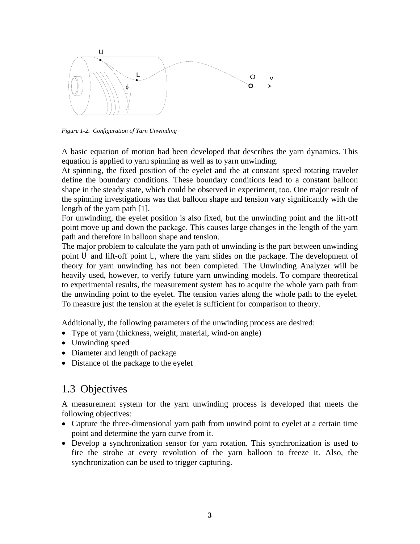

*Figure 1-2. Configuration of Yarn Unwinding* 

A basic equation of motion had been developed that describes the yarn dynamics. This equation is applied to yarn spinning as well as to yarn unwinding.

At spinning, the fixed position of the eyelet and the at constant speed rotating traveler define the boundary conditions. These boundary conditions lead to a constant balloon shape in the steady state, which could be observed in experiment, too. One major result of the spinning investigations was that balloon shape and tension vary significantly with the length of the yarn path [1].

For unwinding, the eyelet position is also fixed, but the unwinding point and the lift-off point move up and down the package. This causes large changes in the length of the yarn path and therefore in balloon shape and tension.

The major problem to calculate the yarn path of unwinding is the part between unwinding point *U* and lift-off point *L*, where the yarn slides on the package. The development of theory for yarn unwinding has not been completed. The Unwinding Analyzer will be heavily used, however, to verify future yarn unwinding models. To compare theoretical to experimental results, the measurement system has to acquire the whole yarn path from the unwinding point to the eyelet. The tension varies along the whole path to the eyelet. To measure just the tension at the eyelet is sufficient for comparison to theory.

Additionally, the following parameters of the unwinding process are desired:

- Type of yarn (thickness, weight, material, wind-on angle)
- Unwinding speed
- Diameter and length of package
- Distance of the package to the eyelet

### 1.3 Objectives

A measurement system for the yarn unwinding process is developed that meets the following objectives:

- Capture the three-dimensional yarn path from unwind point to eyelet at a certain time point and determine the yarn curve from it.
- Develop a synchronization sensor for yarn rotation. This synchronization is used to fire the strobe at every revolution of the yarn balloon to freeze it. Also, the synchronization can be used to trigger capturing.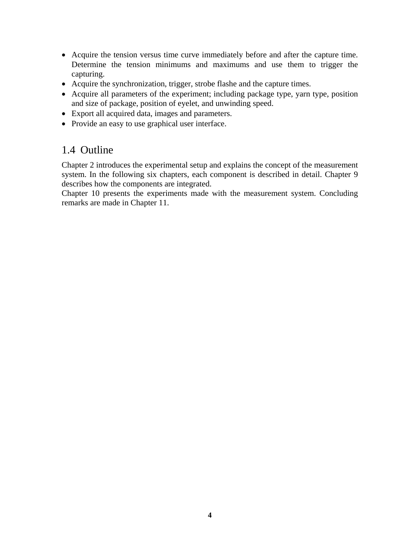- Acquire the tension versus time curve immediately before and after the capture time. Determine the tension minimums and maximums and use them to trigger the capturing.
- Acquire the synchronization, trigger, strobe flashe and the capture times.
- Acquire all parameters of the experiment; including package type, yarn type, position and size of package, position of eyelet, and unwinding speed.
- Export all acquired data, images and parameters.
- Provide an easy to use graphical user interface.

## 1.4 Outline

Chapter 2 introduces the experimental setup and explains the concept of the measurement system. In the following six chapters, each component is described in detail. Chapter 9 describes how the components are integrated.

Chapter 10 presents the experiments made with the measurement system. Concluding remarks are made in Chapter 11.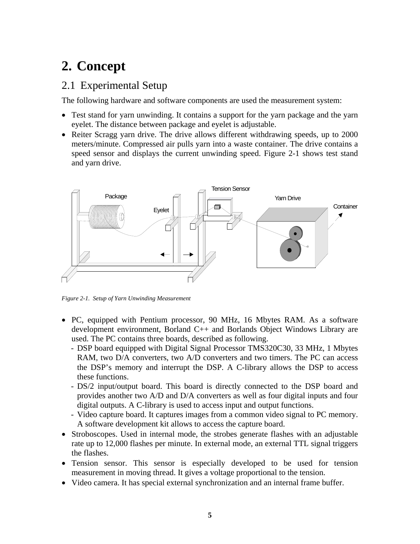# **2. Concept**

## 2.1 Experimental Setup

The following hardware and software components are used the measurement system:

- Test stand for yarn unwinding. It contains a support for the yarn package and the yarn eyelet. The distance between package and eyelet is adjustable.
- Reiter Scragg yarn drive. The drive allows different withdrawing speeds, up to 2000 meters/minute. Compressed air pulls yarn into a waste container. The drive contains a speed sensor and displays the current unwinding speed. Figure 2-1 shows test stand and yarn drive.



*Figure 2-1. Setup of Yarn Unwinding Measurement* 

- PC, equipped with Pentium processor, 90 MHz, 16 Mbytes RAM. As a software development environment, Borland C++ and Borlands Object Windows Library are used. The PC contains three boards, described as following.
	- DSP board equipped with Digital Signal Processor TMS320C30, 33 MHz, 1 Mbytes RAM, two D/A converters, two A/D converters and two timers. The PC can access the DSP's memory and interrupt the DSP. A C-library allows the DSP to access these functions.
	- DS/2 input/output board. This board is directly connected to the DSP board and provides another two A/D and D/A converters as well as four digital inputs and four digital outputs. A C-library is used to access input and output functions.
	- Video capture board. It captures images from a common video signal to PC memory. A software development kit allows to access the capture board.
- Stroboscopes. Used in internal mode, the strobes generate flashes with an adjustable rate up to 12,000 flashes per minute. In external mode, an external TTL signal triggers the flashes.
- Tension sensor. This sensor is especially developed to be used for tension measurement in moving thread. It gives a voltage proportional to the tension.
- Video camera. It has special external synchronization and an internal frame buffer.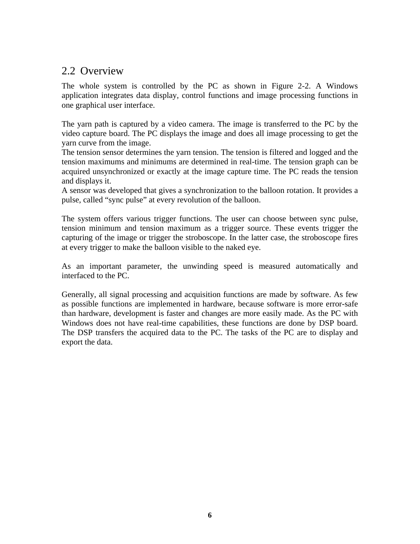## 2.2 Overview

The whole system is controlled by the PC as shown in Figure 2-2. A Windows application integrates data display, control functions and image processing functions in one graphical user interface.

The yarn path is captured by a video camera. The image is transferred to the PC by the video capture board. The PC displays the image and does all image processing to get the yarn curve from the image.

The tension sensor determines the yarn tension. The tension is filtered and logged and the tension maximums and minimums are determined in real-time. The tension graph can be acquired unsynchronized or exactly at the image capture time. The PC reads the tension and displays it.

A sensor was developed that gives a synchronization to the balloon rotation. It provides a pulse, called "sync pulse" at every revolution of the balloon.

The system offers various trigger functions. The user can choose between sync pulse, tension minimum and tension maximum as a trigger source. These events trigger the capturing of the image or trigger the stroboscope. In the latter case, the stroboscope fires at every trigger to make the balloon visible to the naked eye.

As an important parameter, the unwinding speed is measured automatically and interfaced to the PC.

Generally, all signal processing and acquisition functions are made by software. As few as possible functions are implemented in hardware, because software is more error-safe than hardware, development is faster and changes are more easily made. As the PC with Windows does not have real-time capabilities, these functions are done by DSP board. The DSP transfers the acquired data to the PC. The tasks of the PC are to display and export the data.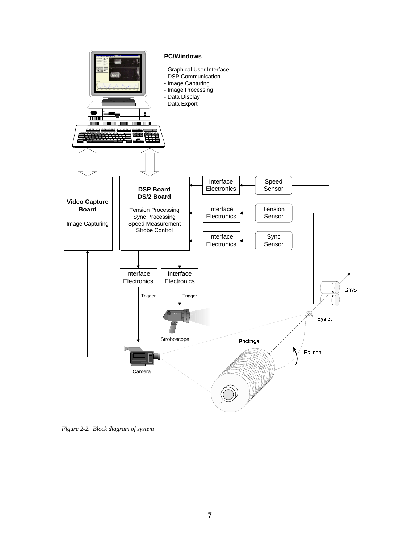

*Figure 2-2. Block diagram of system*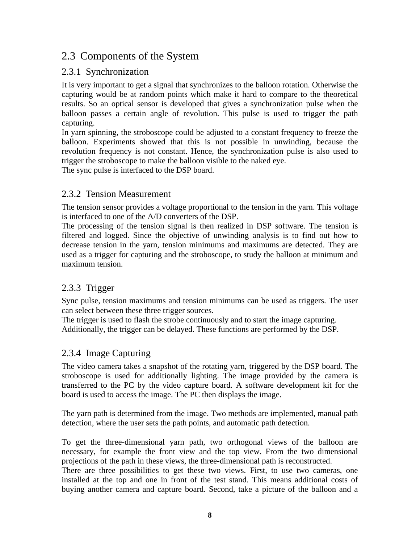## 2.3 Components of the System

### 2.3.1 Synchronization

It is very important to get a signal that synchronizes to the balloon rotation. Otherwise the capturing would be at random points which make it hard to compare to the theoretical results. So an optical sensor is developed that gives a synchronization pulse when the balloon passes a certain angle of revolution. This pulse is used to trigger the path capturing.

In yarn spinning, the stroboscope could be adjusted to a constant frequency to freeze the balloon. Experiments showed that this is not possible in unwinding, because the revolution frequency is not constant. Hence, the synchronization pulse is also used to trigger the stroboscope to make the balloon visible to the naked eye.

The sync pulse is interfaced to the DSP board.

#### 2.3.2 Tension Measurement

The tension sensor provides a voltage proportional to the tension in the yarn. This voltage is interfaced to one of the A/D converters of the DSP.

The processing of the tension signal is then realized in DSP software. The tension is filtered and logged. Since the objective of unwinding analysis is to find out how to decrease tension in the yarn, tension minimums and maximums are detected. They are used as a trigger for capturing and the stroboscope, to study the balloon at minimum and maximum tension.

### 2.3.3 Trigger

Sync pulse, tension maximums and tension minimums can be used as triggers. The user can select between these three trigger sources.

The trigger is used to flash the strobe continuously and to start the image capturing. Additionally, the trigger can be delayed. These functions are performed by the DSP.

### 2.3.4 Image Capturing

The video camera takes a snapshot of the rotating yarn, triggered by the DSP board. The stroboscope is used for additionally lighting. The image provided by the camera is transferred to the PC by the video capture board. A software development kit for the board is used to access the image. The PC then displays the image.

The yarn path is determined from the image. Two methods are implemented, manual path detection, where the user sets the path points, and automatic path detection.

To get the three-dimensional yarn path, two orthogonal views of the balloon are necessary, for example the front view and the top view. From the two dimensional projections of the path in these views, the three-dimensional path is reconstructed.

There are three possibilities to get these two views. First, to use two cameras, one installed at the top and one in front of the test stand. This means additional costs of buying another camera and capture board. Second, take a picture of the balloon and a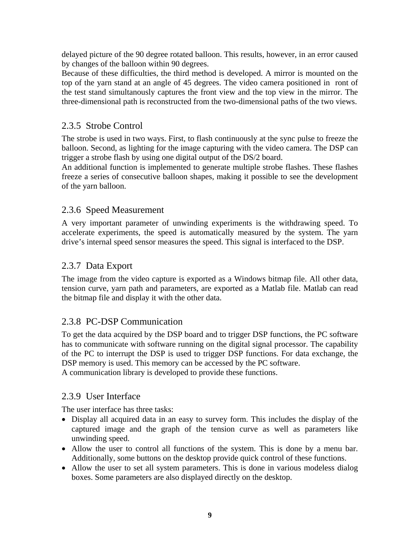delayed picture of the 90 degree rotated balloon. This results, however, in an error caused by changes of the balloon within 90 degrees.

Because of these difficulties, the third method is developed. A mirror is mounted on the top of the yarn stand at an angle of 45 degrees. The video camera positioned in ront of the test stand simultanously captures the front view and the top view in the mirror. The three-dimensional path is reconstructed from the two-dimensional paths of the two views.

#### 2.3.5 Strobe Control

The strobe is used in two ways. First, to flash continuously at the sync pulse to freeze the balloon. Second, as lighting for the image capturing with the video camera. The DSP can trigger a strobe flash by using one digital output of the DS/2 board.

An additional function is implemented to generate multiple strobe flashes. These flashes freeze a series of consecutive balloon shapes, making it possible to see the development of the yarn balloon.

#### 2.3.6 Speed Measurement

A very important parameter of unwinding experiments is the withdrawing speed. To accelerate experiments, the speed is automatically measured by the system. The yarn drive's internal speed sensor measures the speed. This signal is interfaced to the DSP.

#### 2.3.7 Data Export

The image from the video capture is exported as a Windows bitmap file. All other data, tension curve, yarn path and parameters, are exported as a Matlab file. Matlab can read the bitmap file and display it with the other data.

#### 2.3.8 PC-DSP Communication

To get the data acquired by the DSP board and to trigger DSP functions, the PC software has to communicate with software running on the digital signal processor. The capability of the PC to interrupt the DSP is used to trigger DSP functions. For data exchange, the DSP memory is used. This memory can be accessed by the PC software. A communication library is developed to provide these functions.

#### 2.3.9 User Interface

The user interface has three tasks:

- Display all acquired data in an easy to survey form. This includes the display of the captured image and the graph of the tension curve as well as parameters like unwinding speed.
- Allow the user to control all functions of the system. This is done by a menu bar. Additionally, some buttons on the desktop provide quick control of these functions.
- Allow the user to set all system parameters. This is done in various modeless dialog boxes. Some parameters are also displayed directly on the desktop.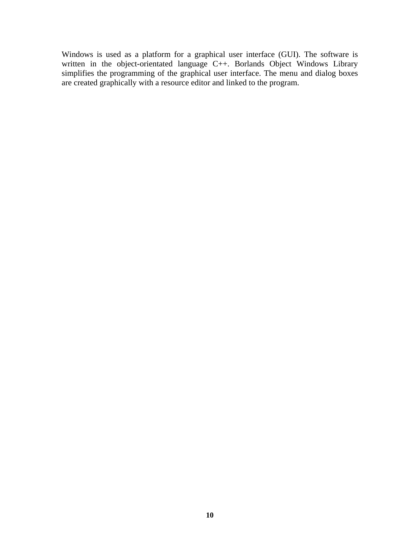Windows is used as a platform for a graphical user interface (GUI). The software is written in the object-orientated language C++. Borlands Object Windows Library simplifies the programming of the graphical user interface. The menu and dialog boxes are created graphically with a resource editor and linked to the program.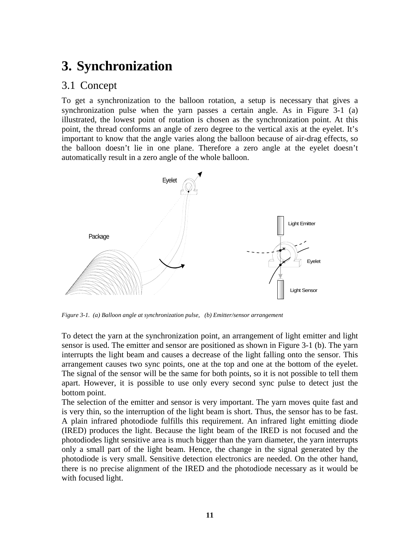## **3. Synchronization**

### 3.1 Concept

To get a synchronization to the balloon rotation, a setup is necessary that gives a synchronization pulse when the yarn passes a certain angle. As in Figure 3-1 (a) illustrated, the lowest point of rotation is chosen as the synchronization point. At this point, the thread conforms an angle of zero degree to the vertical axis at the eyelet. It's important to know that the angle varies along the balloon because of air-drag effects, so the balloon doesn't lie in one plane. Therefore a zero angle at the eyelet doesn't automatically result in a zero angle of the whole balloon.



*Figure 3-1. (a) Balloon angle at synchronization pulse, (b) Emitter/sensor arrangement* 

To detect the yarn at the synchronization point, an arrangement of light emitter and light sensor is used. The emitter and sensor are positioned as shown in Figure 3-1 (b). The yarn interrupts the light beam and causes a decrease of the light falling onto the sensor. This arrangement causes two sync points, one at the top and one at the bottom of the eyelet. The signal of the sensor will be the same for both points, so it is not possible to tell them apart. However, it is possible to use only every second sync pulse to detect just the bottom point.

The selection of the emitter and sensor is very important. The yarn moves quite fast and is very thin, so the interruption of the light beam is short. Thus, the sensor has to be fast. A plain infrared photodiode fulfills this requirement. An infrared light emitting diode (IRED) produces the light. Because the light beam of the IRED is not focused and the photodiodes light sensitive area is much bigger than the yarn diameter, the yarn interrupts only a small part of the light beam. Hence, the change in the signal generated by the photodiode is very small. Sensitive detection electronics are needed. On the other hand, there is no precise alignment of the IRED and the photodiode necessary as it would be with focused light.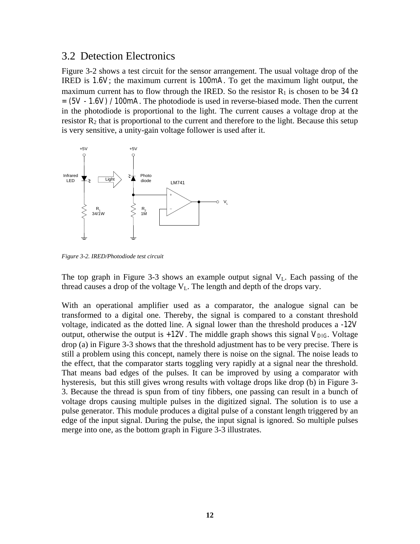#### 3.2 Detection Electronics

Figure 3-2 shows a test circuit for the sensor arrangement. The usual voltage drop of the IRED is *1.6V*; the maximum current is *100mA*. To get the maximum light output, the maximum current has to flow through the IRED. So the resistor  $R_1$  is chosen to be 34  $\Omega$ *= (5V - 1.6V) / 100mA*. The photodiode is used in reverse-biased mode. Then the current in the photodiode is proportional to the light. The current causes a voltage drop at the resistor  $R_2$  that is proportional to the current and therefore to the light. Because this setup is very sensitive, a unity-gain voltage follower is used after it.



*Figure 3-2. IRED/Photodiode test circuit* 

The top graph in Figure 3-3 shows an example output signal  $V<sub>L</sub>$ . Each passing of the thread causes a drop of the voltage  $V<sub>L</sub>$ . The length and depth of the drops vary.

With an operational amplifier used as a comparator, the analogue signal can be transformed to a digital one. Thereby, the signal is compared to a constant threshold voltage, indicated as the dotted line. A signal lower than the threshold produces a *-12V* output, otherwise the output is  $+12V$ . The middle graph shows this signal  $V_{DIG}$ . Voltage drop (a) in Figure 3-3 shows that the threshold adjustment has to be very precise. There is still a problem using this concept, namely there is noise on the signal. The noise leads to the effect, that the comparator starts toggling very rapidly at a signal near the threshold. That means bad edges of the pulses. It can be improved by using a comparator with hysteresis, but this still gives wrong results with voltage drops like drop (b) in Figure 3- 3. Because the thread is spun from of tiny fibbers, one passing can result in a bunch of voltage drops causing multiple pulses in the digitized signal. The solution is to use a pulse generator. This module produces a digital pulse of a constant length triggered by an edge of the input signal. During the pulse, the input signal is ignored. So multiple pulses merge into one, as the bottom graph in Figure 3-3 illustrates.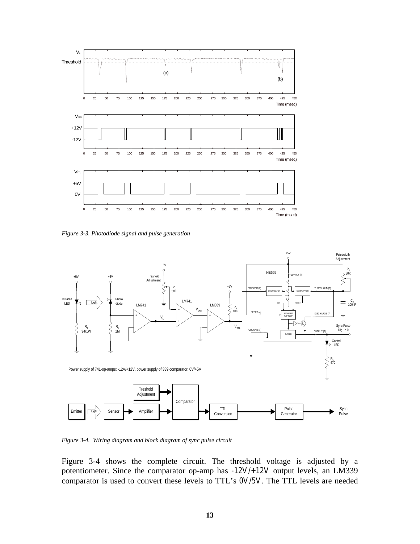

*Figure 3-3. Photodiode signal and pulse generation* 



*Figure 3-4. Wiring diagram and block diagram of sync pulse circuit* 

Figure 3-4 shows the complete circuit. The threshold voltage is adjusted by a potentiometer. Since the comparator op-amp has *-12V/+12V* output levels, an LM339 comparator is used to convert these levels to TTL's *0V/5V*. The TTL levels are needed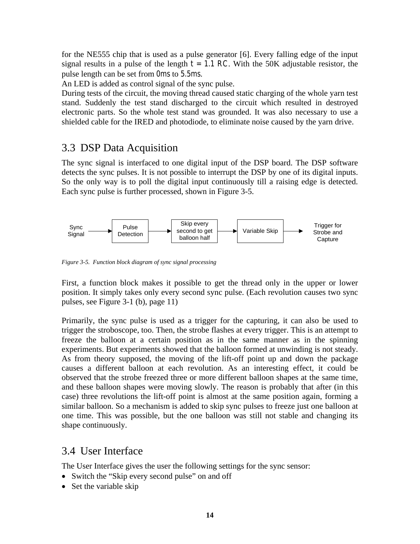for the NE555 chip that is used as a pulse generator [6]. Every falling edge of the input signal results in a pulse of the length  $t = 1.1$  RC. With the 50K adjustable resistor, the pulse length can be set from *0ms* to *5.5ms*.

An LED is added as control signal of the sync pulse.

During tests of the circuit, the moving thread caused static charging of the whole yarn test stand. Suddenly the test stand discharged to the circuit which resulted in destroyed electronic parts. So the whole test stand was grounded. It was also necessary to use a shielded cable for the IRED and photodiode, to eliminate noise caused by the yarn drive.

### 3.3 DSP Data Acquisition

The sync signal is interfaced to one digital input of the DSP board. The DSP software detects the sync pulses. It is not possible to interrupt the DSP by one of its digital inputs. So the only way is to poll the digital input continuously till a raising edge is detected. Each sync pulse is further processed, shown in Figure 3-5.



*Figure 3-5. Function block diagram of sync signal processing* 

First, a function block makes it possible to get the thread only in the upper or lower position. It simply takes only every second sync pulse. (Each revolution causes two sync pulses, see Figure 3-1 (b), page 11)

Primarily, the sync pulse is used as a trigger for the capturing, it can also be used to trigger the stroboscope, too. Then, the strobe flashes at every trigger. This is an attempt to freeze the balloon at a certain position as in the same manner as in the spinning experiments. But experiments showed that the balloon formed at unwinding is not steady. As from theory supposed, the moving of the lift-off point up and down the package causes a different balloon at each revolution. As an interesting effect, it could be observed that the strobe freezed three or more different balloon shapes at the same time, and these balloon shapes were moving slowly. The reason is probably that after (in this case) three revolutions the lift-off point is almost at the same position again, forming a similar balloon. So a mechanism is added to skip sync pulses to freeze just one balloon at one time. This was possible, but the one balloon was still not stable and changing its shape continuously.

#### 3.4 User Interface

The User Interface gives the user the following settings for the sync sensor:

- Switch the "Skip every second pulse" on and off
- Set the variable skip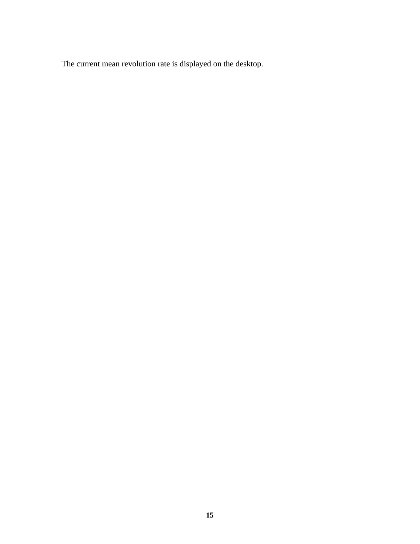The current mean revolution rate is displayed on the desktop.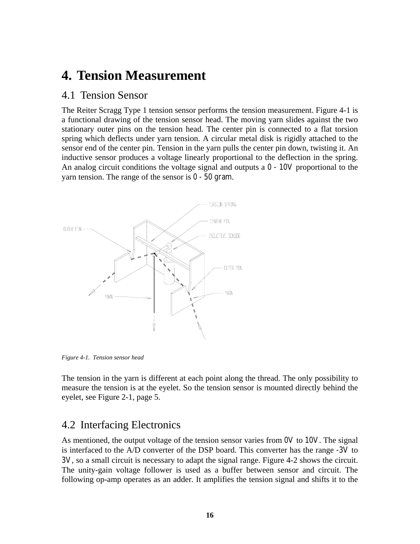## **4. Tension Measurement**

#### 4.1 Tension Sensor

The Reiter Scragg Type 1 tension sensor performs the tension measurement. Figure 4-1 is a functional drawing of the tension sensor head. The moving yarn slides against the two stationary outer pins on the tension head. The center pin is connected to a flat torsion spring which deflects under yarn tension. A circular metal disk is rigidly attached to the sensor end of the center pin. Tension in the yarn pulls the center pin down, twisting it. An inductive sensor produces a voltage linearly proportional to the deflection in the spring. An analog circuit conditions the voltage signal and outputs a *0 - 10V* proportional to the yarn tension. The range of the sensor is *0 - 50 gram*.



*Figure 4-1. Tension sensor head* 

The tension in the yarn is different at each point along the thread. The only possibility to measure the tension is at the eyelet. So the tension sensor is mounted directly behind the eyelet, see Figure 2-1, page 5.

### 4.2 Interfacing Electronics

As mentioned, the output voltage of the tension sensor varies from *0V* to *10V*. The signal is interfaced to the A/D converter of the DSP board. This converter has the range *-3V* to *3V*, so a small circuit is necessary to adapt the signal range. Figure 4-2 shows the circuit. The unity-gain voltage follower is used as a buffer between sensor and circuit. The following op-amp operates as an adder. It amplifies the tension signal and shifts it to the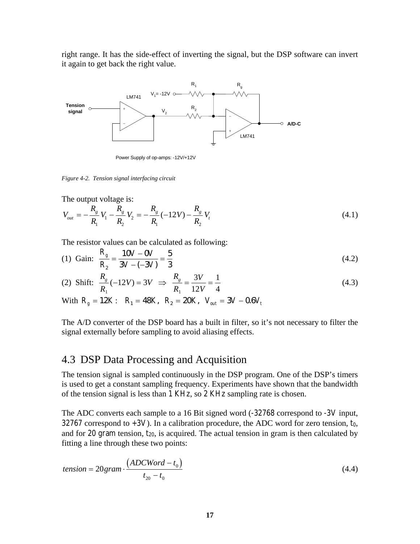right range. It has the side-effect of inverting the signal, but the DSP software can invert it again to get back the right value.



Power Supply of op-amps: -12V/+12V

*Figure 4-2. Tension signal interfacing circuit* 

The output voltage is:

$$
V_{out} = -\frac{R_g}{R_1}V_1 - \frac{R_g}{R_2}V_2 = -\frac{R_g}{R_1}(-12V) - \frac{R_g}{R_2}V_t
$$
\n(4.1)

The resistor values can be calculated as following:

(1) Gain: 
$$
\frac{R_g}{R_2} = \frac{10 V - 0 V}{3 V - (-3 V)} = \frac{5}{3}
$$
 (4.2)

(2) Shift: 
$$
\frac{R_g}{R_1}(-12V) = 3V \implies \frac{R_g}{R_1} = \frac{3V}{12V} = \frac{1}{4}
$$
 (4.3)

With 
$$
R_g = 12K
$$
:  $R_1 = 48K$ ,  $R_2 = 20K$ ,  $V_{out} = 3V - 0.6V_t$ 

The A/D converter of the DSP board has a built in filter, so it's not necessary to filter the signal externally before sampling to avoid aliasing effects.

### 4.3 DSP Data Processing and Acquisition

The tension signal is sampled continuously in the DSP program. One of the DSP's timers is used to get a constant sampling frequency. Experiments have shown that the bandwidth of the tension signal is less than *1 KHz*, so *2 KHz* sampling rate is chosen.

The ADC converts each sample to a 16 Bit signed word (*-32768* correspond to *-3V* input, *32767* correspond to *+3V*). In a calibration procedure, the ADC word for zero tension, *t0*, and for 20 gram tension,  $t_{20}$ , is acquired. The actual tension in gram is then calculated by fitting a line through these two points:

$$
tension = 20gram \cdot \frac{(ADCWord - t_0)}{t_{20} - t_0}
$$
\n
$$
(4.4)
$$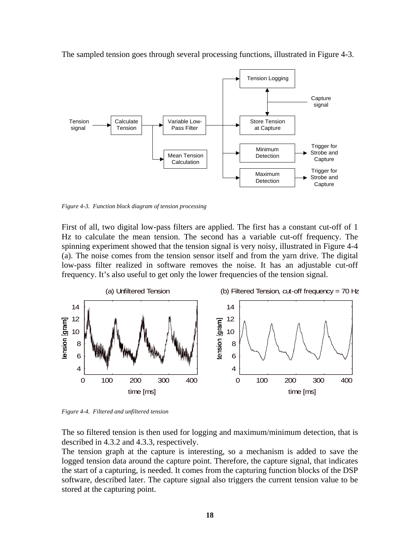

The sampled tension goes through several processing functions, illustrated in Figure 4-3.

*Figure 4-3. Function block diagram of tension processing* 

First of all, two digital low-pass filters are applied. The first has a constant cut-off of 1 Hz to calculate the mean tension. The second has a variable cut-off frequency. The spinning experiment showed that the tension signal is very noisy, illustrated in Figure 4-4 (a). The noise comes from the tension sensor itself and from the yarn drive. The digital low-pass filter realized in software removes the noise. It has an adjustable cut-off frequency. It's also useful to get only the lower frequencies of the tension signal.



*Figure 4-4. Filtered and unfiltered tension* 

The so filtered tension is then used for logging and maximum/minimum detection, that is described in 4.3.2 and 4.3.3, respectively.

The tension graph at the capture is interesting, so a mechanism is added to save the logged tension data around the capture point. Therefore, the capture signal, that indicates the start of a capturing, is needed. It comes from the capturing function blocks of the DSP software, described later. The capture signal also triggers the current tension value to be stored at the capturing point.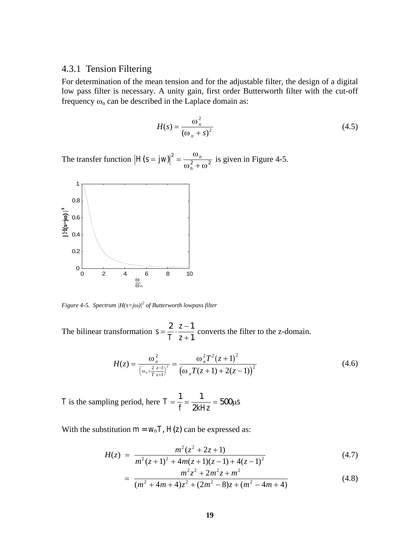#### 4.3.1 Tension Filtering

For determination of the mean tension and for the adjustable filter, the design of a digital low pass filter is necessary. A unity gain, first order Butterworth filter with the cut-off frequency  $\omega_n$  can be described in the Laplace domain as:

$$
H(s) = \frac{\omega_n^2}{\left(\omega_n + s\right)^2} \tag{4.5}
$$

The transfer function  $|H(s=jw)|^2 = \frac{w_n}{2}$  $\left[ (s = jw) \right]^2 = \frac{\omega}{\omega_n^2 + \omega_n^2}$ 2  $\sqrt{2}$ ω  $\omega_n^2 + \omega$ is given in Figure 4-5.



*Figure 4-5. Spectrum |H(s=j*ω*)|<sup>2</sup> of Butterworth lowpass filter* 

The bilinear transformation *s T*  $=\frac{2}{T}\cdot\frac{z-}{z+}$ 2  $z-1$ 1 converts the filter to the z-domain.

$$
H(z) = \frac{\omega_n^2}{\left(\omega_n + \frac{2}{T}\frac{z-1}{z+1}\right)^2} = \frac{\omega_n^2 T^2 (z+1)^2}{\left(\omega_n T (z+1) + 2(z-1)\right)^2}
$$
(4.6)

*T* is the sampling period, here  $T = \frac{1}{f} = \frac{1}{2kHz} = 500\mu s$ 2 500µ

With the substitution  $m = w_nT$ ,  $H(z)$  can be expressed as:

$$
H(z) = \frac{m^2(z^2 + 2z + 1)}{m^2(z + 1)^2 + 4m(z + 1)(z - 1) + 4(z - 1)^2}
$$
(4.7)

$$
= \frac{m^2 z^2 + 2m^2 z + m^2}{(m^2 + 4m + 4)z^2 + (2m^2 - 8)z + (m^2 - 4m + 4)}
$$
(4.8)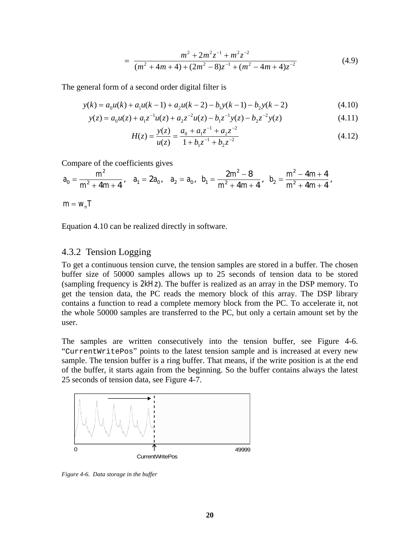$$
= \frac{m^2 + 2m^2z^{-1} + m^2z^{-2}}{(m^2 + 4m + 4) + (2m^2 - 8)z^{-1} + (m^2 - 4m + 4)z^{-2}}
$$
(4.9)

The general form of a second order digital filter is

$$
y(k) = a_0 u(k) + a_1 u(k-1) + a_2 u(k-2) - b_1 y(k-1) - b_2 y(k-2)
$$
\n(4.10)

$$
y(z) = a_0 u(z) + a_1 z^{-1} u(z) + a_2 z^{-2} u(z) - b_1 z^{-1} y(z) - b_2 z^{-2} y(z)
$$
(4.11)

$$
H(z) = \frac{y(z)}{u(z)} = \frac{a_0 + a_1 z^{-1} + a_2 z^{-2}}{1 + b_1 z^{-1} + b_2 z^{-2}}
$$
(4.12)

Compare of the coefficients gives

$$
a_0=\frac{m^2}{m^2+4m+4}, \quad a_1=2a_0, \quad a_2=a_0, \quad b_1=\frac{2m^2-8}{m^2+4m+4}, \quad b_2=\frac{m^2-4m+4}{m^2+4m+4},
$$

 $m = w_n T$ 

Equation 4.10 can be realized directly in software.

#### 4.3.2 Tension Logging

To get a continuous tension curve, the tension samples are stored in a buffer. The chosen buffer size of 50000 samples allows up to 25 seconds of tension data to be stored (sampling frequency is *2kHz*). The buffer is realized as an array in the DSP memory. To get the tension data, the PC reads the memory block of this array. The DSP library contains a function to read a complete memory block from the PC. To accelerate it, not the whole 50000 samples are transferred to the PC, but only a certain amount set by the user.

The samples are written consecutively into the tension buffer, see Figure 4-6. "CurrentWritePos" points to the latest tension sample and is increased at every new sample. The tension buffer is a ring buffer. That means, if the write position is at the end of the buffer, it starts again from the beginning. So the buffer contains always the latest 25 seconds of tension data, see Figure 4-7.



*Figure 4-6. Data storage in the buffer*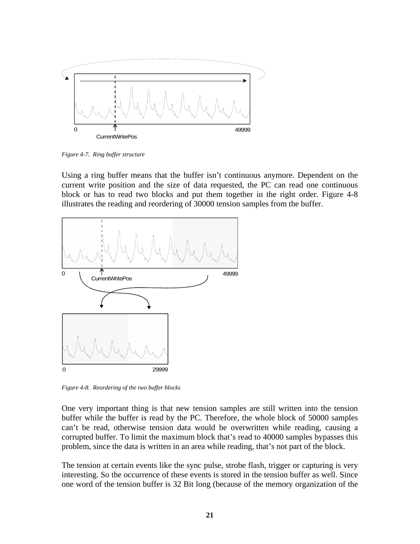

*Figure 4-7. Ring buffer structure* 

Using a ring buffer means that the buffer isn't continuous anymore. Dependent on the current write position and the size of data requested, the PC can read one continuous block or has to read two blocks and put them together in the right order. Figure 4-8 illustrates the reading and reordering of 30000 tension samples from the buffer.



*Figure 4-8. Reordering of the two buffer blocks* 

One very important thing is that new tension samples are still written into the tension buffer while the buffer is read by the PC. Therefore, the whole block of 50000 samples can't be read, otherwise tension data would be overwritten while reading, causing a corrupted buffer. To limit the maximum block that's read to 40000 samples bypasses this problem, since the data is written in an area while reading, that's not part of the block.

The tension at certain events like the sync pulse, strobe flash, trigger or capturing is very interesting. So the occurrence of these events is stored in the tension buffer as well. Since one word of the tension buffer is 32 Bit long (because of the memory organization of the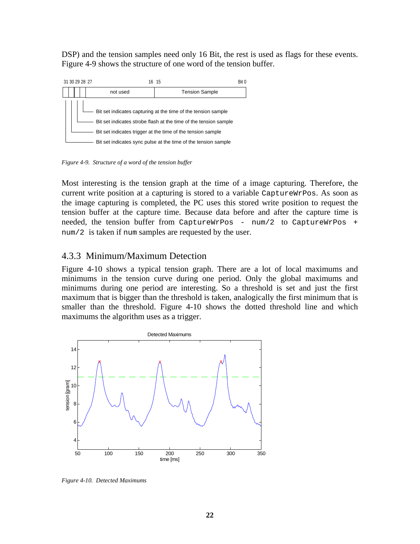DSP) and the tension samples need only 16 Bit, the rest is used as flags for these events. Figure 4-9 shows the structure of one word of the tension buffer.



*Figure 4-9. Structure of a word of the tension buffer* 

Most interesting is the tension graph at the time of a image capturing. Therefore, the current write position at a capturing is stored to a variable CaptureWrPos. As soon as the image capturing is completed, the PC uses this stored write position to request the tension buffer at the capture time. Because data before and after the capture time is needed, the tension buffer from CaptureWrPos - num/2 to CaptureWrPos + num/2 is taken if num samples are requested by the user.

#### 4.3.3 Minimum/Maximum Detection

Figure 4-10 shows a typical tension graph. There are a lot of local maximums and minimums in the tension curve during one period. Only the global maximums and minimums during one period are interesting. So a threshold is set and just the first maximum that is bigger than the threshold is taken, analogically the first minimum that is smaller than the threshold. Figure 4-10 shows the dotted threshold line and which maximums the algorithm uses as a trigger.



*Figure 4-10. Detected Maximums*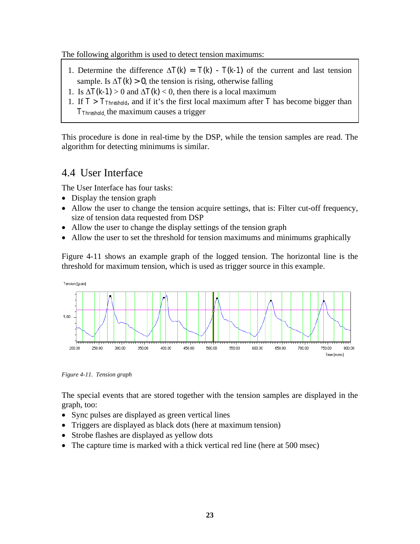The following algorithm is used to detect tension maximums:

- 1. Determine the difference  $\Delta T(k) = T(k) T(k-1)$  of the current and last tension sample. Is  $\Delta T(k) > 0$ , the tension is rising, otherwise falling
- 1. Is  $\Delta T(k-1) > 0$  and  $\Delta T(k) < 0$ , then there is a local maximum
- 1. If  $T > T_{Threshold}$ , and if it's the first local maximum after T has become bigger than *TThreshold*, the maximum causes a trigger

This procedure is done in real-time by the DSP, while the tension samples are read. The algorithm for detecting minimums is similar.

### 4.4 User Interface

The User Interface has four tasks:

- Display the tension graph
- Allow the user to change the tension acquire settings, that is: Filter cut-off frequency, size of tension data requested from DSP
- Allow the user to change the display settings of the tension graph
- Allow the user to set the threshold for tension maximums and minimums graphically

Figure 4-11 shows an example graph of the logged tension. The horizontal line is the threshold for maximum tension, which is used as trigger source in this example.



*Figure 4-11. Tension graph* 

The special events that are stored together with the tension samples are displayed in the graph, too:

- Sync pulses are displayed as green vertical lines
- Triggers are displayed as black dots (here at maximum tension)
- Strobe flashes are displayed as yellow dots
- The capture time is marked with a thick vertical red line (here at 500 msec)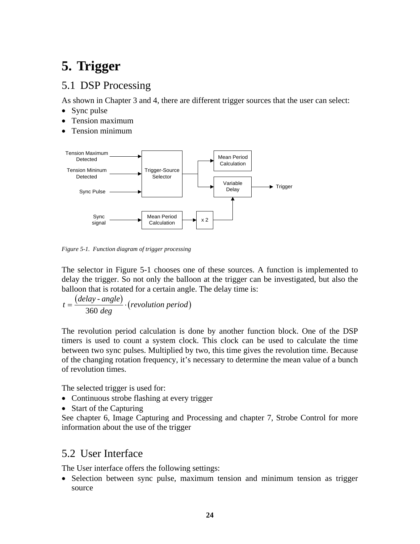# **5. Trigger**

## 5.1 DSP Processing

As shown in Chapter 3 and 4, there are different trigger sources that the user can select:

- Sync pulse
- Tension maximum
- Tension minimum



*Figure 5-1. Function diagram of trigger processing* 

The selector in Figure 5-1 chooses one of these sources. A function is implemented to delay the trigger. So not only the balloon at the trigger can be investigated, but also the balloon that is rotated for a certain angle. The delay time is:

$$
t = \frac{(delay - angle)}{360 \text{ deg}} \cdot (revolution \text{ period})
$$

The revolution period calculation is done by another function block. One of the DSP timers is used to count a system clock. This clock can be used to calculate the time between two sync pulses. Multiplied by two, this time gives the revolution time. Because of the changing rotation frequency, it's necessary to determine the mean value of a bunch of revolution times.

The selected trigger is used for:

- Continuous strobe flashing at every trigger
- Start of the Capturing

See chapter 6, Image Capturing and Processing and chapter 7, Strobe Control for more information about the use of the trigger

### 5.2 User Interface

The User interface offers the following settings:

• Selection between sync pulse, maximum tension and minimum tension as trigger source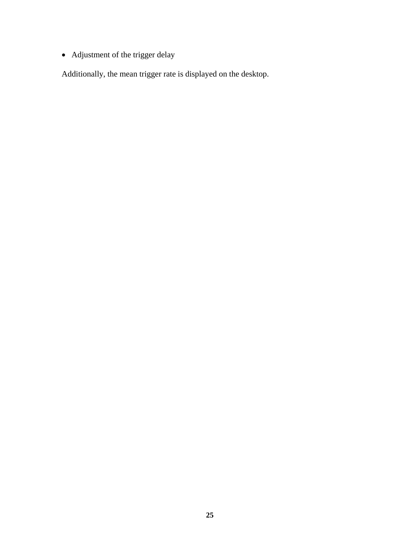• Adjustment of the trigger delay

Additionally, the mean trigger rate is displayed on the desktop.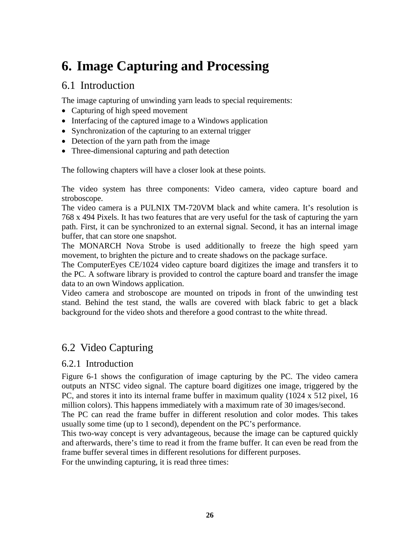# **6. Image Capturing and Processing**

### 6.1 Introduction

The image capturing of unwinding yarn leads to special requirements:

- Capturing of high speed movement
- Interfacing of the captured image to a Windows application
- Synchronization of the capturing to an external trigger
- Detection of the yarn path from the image
- Three-dimensional capturing and path detection

The following chapters will have a closer look at these points.

The video system has three components: Video camera, video capture board and stroboscope.

The video camera is a PULNIX TM-720VM black and white camera. It's resolution is 768 x 494 Pixels. It has two features that are very useful for the task of capturing the yarn path. First, it can be synchronized to an external signal. Second, it has an internal image buffer, that can store one snapshot.

The MONARCH Nova Strobe is used additionally to freeze the high speed yarn movement, to brighten the picture and to create shadows on the package surface.

The ComputerEyes CE/1024 video capture board digitizes the image and transfers it to the PC. A software library is provided to control the capture board and transfer the image data to an own Windows application.

Video camera and stroboscope are mounted on tripods in front of the unwinding test stand. Behind the test stand, the walls are covered with black fabric to get a black background for the video shots and therefore a good contrast to the white thread.

## 6.2 Video Capturing

#### 6.2.1 Introduction

Figure 6-1 shows the configuration of image capturing by the PC. The video camera outputs an NTSC video signal. The capture board digitizes one image, triggered by the PC, and stores it into its internal frame buffer in maximum quality (1024 x 512 pixel, 16 million colors). This happens immediately with a maximum rate of 30 images/second.

The PC can read the frame buffer in different resolution and color modes. This takes usually some time (up to 1 second), dependent on the PC's performance.

This two-way concept is very advantageous, because the image can be captured quickly and afterwards, there's time to read it from the frame buffer. It can even be read from the frame buffer several times in different resolutions for different purposes.

For the unwinding capturing, it is read three times: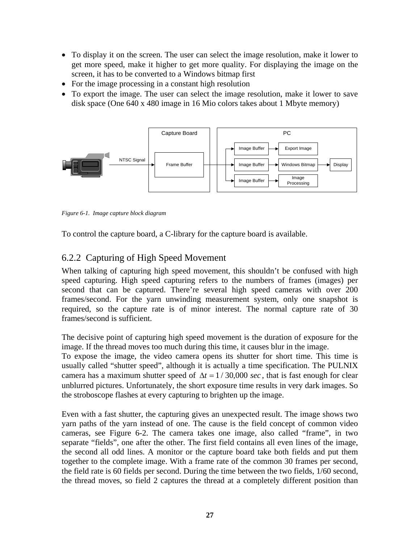- To display it on the screen. The user can select the image resolution, make it lower to get more speed, make it higher to get more quality. For displaying the image on the screen, it has to be converted to a Windows bitmap first
- For the image processing in a constant high resolution
- To export the image. The user can select the image resolution, make it lower to save disk space (One 640 x 480 image in 16 Mio colors takes about 1 Mbyte memory)



*Figure 6-1. Image capture block diagram* 

To control the capture board, a C-library for the capture board is available.

### 6.2.2 Capturing of High Speed Movement

When talking of capturing high speed movement, this shouldn't be confused with high speed capturing. High speed capturing refers to the numbers of frames (images) per second that can be captured. There're several high speed cameras with over 200 frames/second. For the yarn unwinding measurement system, only one snapshot is required, so the capture rate is of minor interest. The normal capture rate of 30 frames/second is sufficient.

The decisive point of capturing high speed movement is the duration of exposure for the image. If the thread moves too much during this time, it causes blur in the image.

To expose the image, the video camera opens its shutter for short time. This time is usually called "shutter speed", although it is actually a time specification. The PULNIX camera has a maximum shutter speed of  $\Delta t = 1/30,000 \text{ sec}$ , that is fast enough for clear unblurred pictures. Unfortunately, the short exposure time results in very dark images. So the stroboscope flashes at every capturing to brighten up the image.

Even with a fast shutter, the capturing gives an unexpected result. The image shows two yarn paths of the yarn instead of one. The cause is the field concept of common video cameras, see Figure 6-2. The camera takes one image, also called "frame", in two separate "fields", one after the other. The first field contains all even lines of the image, the second all odd lines. A monitor or the capture board take both fields and put them together to the complete image. With a frame rate of the common 30 frames per second, the field rate is 60 fields per second. During the time between the two fields, 1/60 second, the thread moves, so field 2 captures the thread at a completely different position than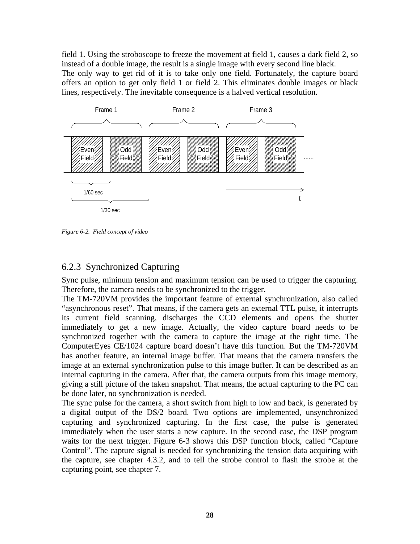field 1. Using the stroboscope to freeze the movement at field 1, causes a dark field 2, so instead of a double image, the result is a single image with every second line black. The only way to get rid of it is to take only one field. Fortunately, the capture board offers an option to get only field 1 or field 2. This eliminates double images or black lines, respectively. The inevitable consequence is a halved vertical resolution.



*Figure 6-2. Field concept of video*

#### 6.2.3 Synchronized Capturing

Sync pulse, mininum tension and maximum tension can be used to trigger the capturing. Therefore, the camera needs to be synchronized to the trigger.

The TM-720VM provides the important feature of external synchronization, also called "asynchronous reset". That means, if the camera gets an external TTL pulse, it interrupts its current field scanning, discharges the CCD elements and opens the shutter immediately to get a new image. Actually, the video capture board needs to be synchronized together with the camera to capture the image at the right time. The ComputerEyes CE/1024 capture board doesn't have this function. But the TM-720VM has another feature, an internal image buffer. That means that the camera transfers the image at an external synchronization pulse to this image buffer. It can be described as an internal capturing in the camera. After that, the camera outputs from this image memory, giving a still picture of the taken snapshot. That means, the actual capturing to the PC can be done later, no synchronization is needed.

The sync pulse for the camera, a short switch from high to low and back, is generated by a digital output of the DS/2 board. Two options are implemented, unsynchronized capturing and synchronized capturing. In the first case, the pulse is generated immediately when the user starts a new capture. In the second case, the DSP program waits for the next trigger. Figure 6-3 shows this DSP function block, called "Capture Control". The capture signal is needed for synchronizing the tension data acquiring with the capture, see chapter 4.3.2, and to tell the strobe control to flash the strobe at the capturing point, see chapter 7.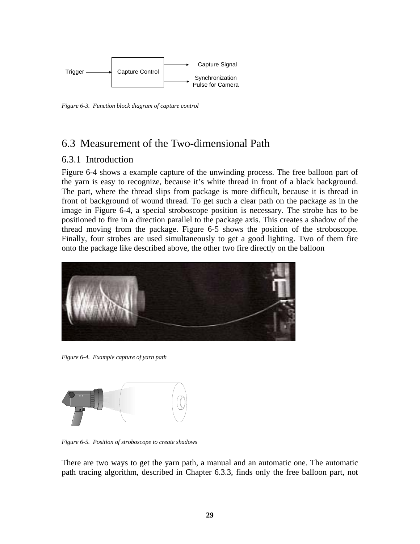

*Figure 6-3. Function block diagram of capture control* 

## 6.3 Measurement of the Two-dimensional Path

#### 6.3.1 Introduction

Figure 6-4 shows a example capture of the unwinding process. The free balloon part of the yarn is easy to recognize, because it's white thread in front of a black background. The part, where the thread slips from package is more difficult, because it is thread in front of background of wound thread. To get such a clear path on the package as in the image in Figure 6-4, a special stroboscope position is necessary. The strobe has to be positioned to fire in a direction parallel to the package axis. This creates a shadow of the thread moving from the package. Figure 6-5 shows the position of the stroboscope. Finally, four strobes are used simultaneously to get a good lighting. Two of them fire onto the package like described above, the other two fire directly on the balloon



*Figure 6-4. Example capture of yarn path* 



*Figure 6-5. Position of stroboscope to create shadows* 

There are two ways to get the yarn path, a manual and an automatic one. The automatic path tracing algorithm, described in Chapter 6.3.3, finds only the free balloon part, not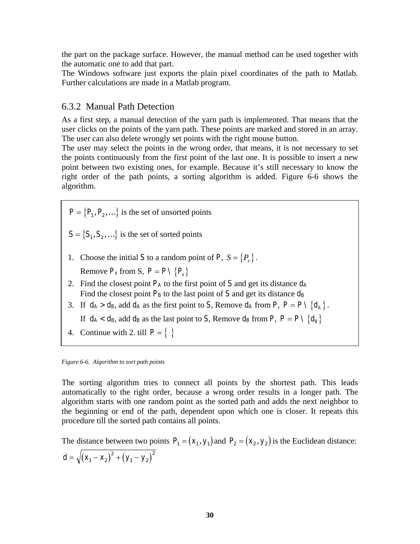the part on the package surface. However, the manual method can be used together with the automatic one to add that part.

The Windows software just exports the plain pixel coordinates of the path to Matlab. Further calculations are made in a Matlab program.

#### 6.3.2 Manual Path Detection

As a first step, a manual detection of the yarn path is implemented. That means that the user clicks on the points of the yarn path. These points are marked and stored in an array. The user can also delete wrongly set points with the right mouse button.

The user may select the points in the wrong order, that means, it is not necessary to set the points continuously from the first point of the last one. It is possible to insert a new point between two existing ones, for example. Because it's still necessary to know the right order of the path points, a sorting algorithm is added. Figure 6-6 shows the algorithm.

 $\{P_1, P_2, ...\}$  $P = \{P_1, P_2\}$ =  $_1$ ,  $_2$ ,  $P_2, \ldots$ is the set of unsorted points

 $\{S_{1}, S_{2}, ...\}$  $S = \{S_1, S_2\}$ =  $v_1, v_2$ ,  $S_{\!\scriptscriptstyle 2}$  ,  $\ldots$ is the set of sorted points

1. Choose the initial *S* to a random point of *P*,  $S = \{P_x\}$ .

Remove  $P_x$  from S,  $P = P \setminus \{P_x\}$ 

- 2. Find the closest point *PA* to the first point of *S* and get its distance *dA* Find the closest point  $P_B$  to the last point of  $S$  and get its distance  $d_B$
- 3. If  $d_A > d_B$ , add  $d_A$  as the first point to *S*, Remove  $d_A$  from *P*,  $P = P \setminus \{d_A\}$ .
	- If  $d_A < d_B$ , add  $d_B$  as the last point to *S*, Remove  $d_B$  from *P*,  $P = P \setminus \{d_B\}$
- 4. Continue with 2. till  $P = \{\}$

*Figure 6-6. Algorithm to sort path points* 

The sorting algorithm tries to connect all points by the shortest path. This leads automatically to the right order, because a wrong order results in a longer path. The algorithm starts with one random point as the sorted path and adds the next neighbor to the beginning or end of the path, dependent upon which one is closer. It repeats this procedure till the sorted path contains all points.

The distance between two points  $P_1 = (x_1, y_1)$  and  $P_2 = (x_2, y_2)$  is the Euclidean distance:  $d = \sqrt{(X_1 - X_2)^2 + (Y_1 - Y_2)}$ 2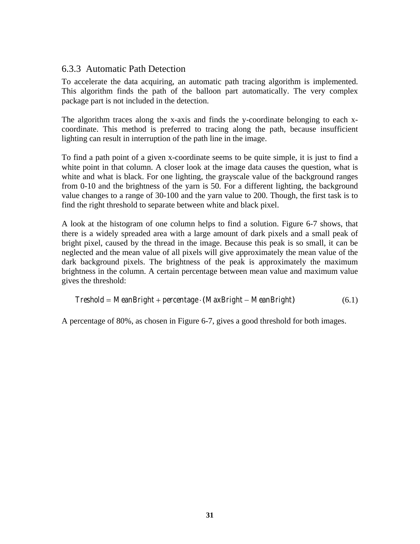#### 6.3.3 Automatic Path Detection

To accelerate the data acquiring, an automatic path tracing algorithm is implemented. This algorithm finds the path of the balloon part automatically. The very complex package part is not included in the detection.

The algorithm traces along the x-axis and finds the y-coordinate belonging to each xcoordinate. This method is preferred to tracing along the path, because insufficient lighting can result in interruption of the path line in the image.

To find a path point of a given x-coordinate seems to be quite simple, it is just to find a white point in that column. A closer look at the image data causes the question, what is white and what is black. For one lighting, the grayscale value of the background ranges from 0-10 and the brightness of the yarn is 50. For a different lighting, the background value changes to a range of 30-100 and the yarn value to 200. Though, the first task is to find the right threshold to separate between white and black pixel.

A look at the histogram of one column helps to find a solution. Figure 6-7 shows, that there is a widely spreaded area with a large amount of dark pixels and a small peak of bright pixel, caused by the thread in the image. Because this peak is so small, it can be neglected and the mean value of all pixels will give approximately the mean value of the dark background pixels. The brightness of the peak is approximately the maximum brightness in the column. A certain percentage between mean value and maximum value gives the threshold:

$$
Treshold = Mean Bright + percentage \cdot (MaxBright - MeanBright) \tag{6.1}
$$

A percentage of 80%, as chosen in Figure 6-7, gives a good threshold for both images.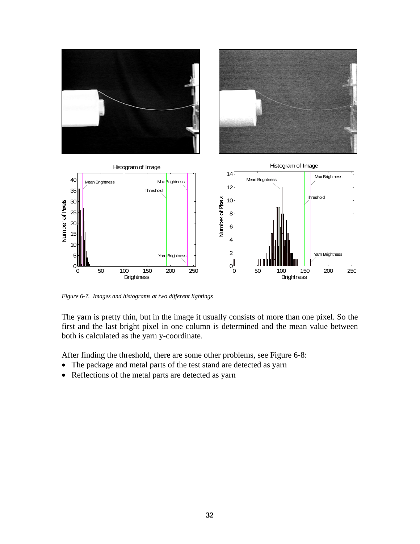

*Figure 6-7. Images and histograms at two different lightings* 

The yarn is pretty thin, but in the image it usually consists of more than one pixel. So the first and the last bright pixel in one column is determined and the mean value between both is calculated as the yarn y-coordinate.

After finding the threshold, there are some other problems, see Figure 6-8:

- The package and metal parts of the test stand are detected as yarn
- Reflections of the metal parts are detected as yarn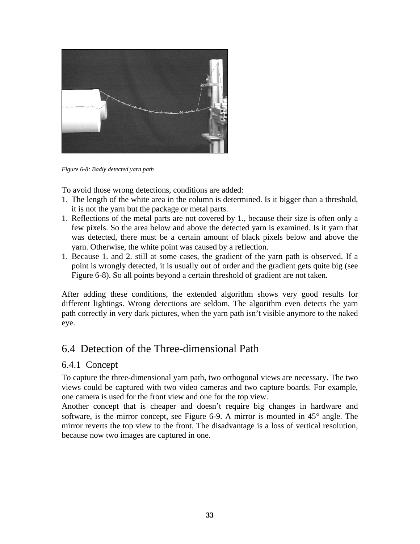

*Figure 6-8: Badly detected yarn path* 

To avoid those wrong detections, conditions are added:

- 1. The length of the white area in the column is determined. Is it bigger than a threshold, it is not the yarn but the package or metal parts.
- 1. Reflections of the metal parts are not covered by 1., because their size is often only a few pixels. So the area below and above the detected yarn is examined. Is it yarn that was detected, there must be a certain amount of black pixels below and above the yarn. Otherwise, the white point was caused by a reflection.
- 1. Because 1. and 2. still at some cases, the gradient of the yarn path is observed. If a point is wrongly detected, it is usually out of order and the gradient gets quite big (see Figure 6-8). So all points beyond a certain threshold of gradient are not taken.

After adding these conditions, the extended algorithm shows very good results for different lightings. Wrong detections are seldom. The algorithm even detects the yarn path correctly in very dark pictures, when the yarn path isn't visible anymore to the naked eye.

## 6.4 Detection of the Three-dimensional Path

#### 6.4.1 Concept

To capture the three-dimensional yarn path, two orthogonal views are necessary. The two views could be captured with two video cameras and two capture boards. For example, one camera is used for the front view and one for the top view.

Another concept that is cheaper and doesn't require big changes in hardware and software, is the mirror concept, see Figure 6-9. A mirror is mounted in 45° angle. The mirror reverts the top view to the front. The disadvantage is a loss of vertical resolution, because now two images are captured in one.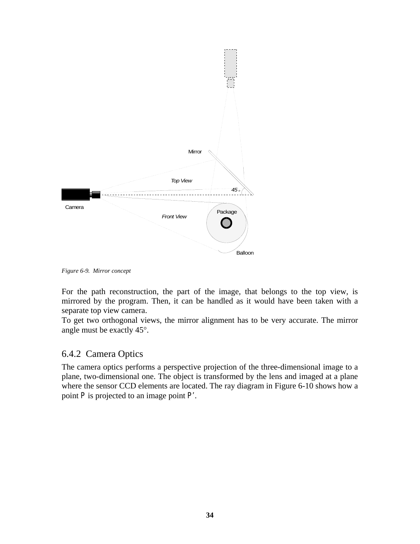

*Figure 6-9. Mirror concept* 

For the path reconstruction, the part of the image, that belongs to the top view, is mirrored by the program. Then, it can be handled as it would have been taken with a separate top view camera.

To get two orthogonal views, the mirror alignment has to be very accurate. The mirror angle must be exactly 45°.

### 6.4.2 Camera Optics

The camera optics performs a perspective projection of the three-dimensional image to a plane, two-dimensional one. The object is transformed by the lens and imaged at a plane where the sensor CCD elements are located. The ray diagram in Figure 6-10 shows how a point *P* is projected to an image point *P'*.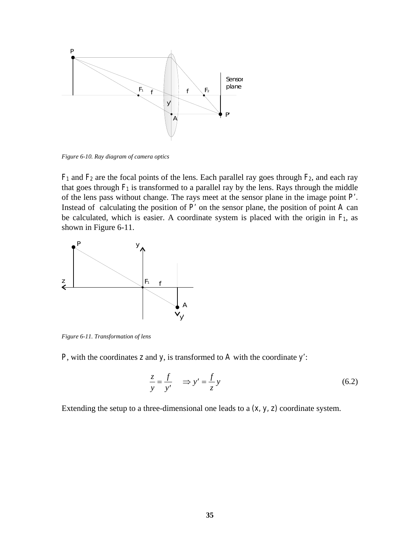

*Figure 6-10. Ray diagram of camera optics* 

*F1* and *F2* are the focal points of the lens. Each parallel ray goes through *F2*, and each ray that goes through  $F_1$  is transformed to a parallel ray by the lens. Rays through the middle of the lens pass without change. The rays meet at the sensor plane in the image point *P'.* Instead of calculating the position of *P'* on the sensor plane, the position of point *A* can be calculated, which is easier. A coordinate system is placed with the origin in  $F_1$ , as shown in Figure 6-11.



*Figure 6-11. Transformation of lens* 

*P*, with the coordinates *z* and *y*, is transformed to *A* with the coordinate *y'*:

$$
\frac{z}{y} = \frac{f}{y'} \implies y' = \frac{f}{z}y \tag{6.2}
$$

Extending the setup to a three-dimensional one leads to a *(x, y, z)* coordinate system.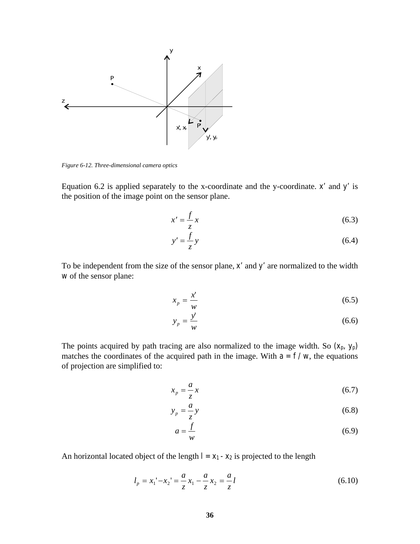

*Figure 6-12. Three-dimensional camera optics* 

Equation 6.2 is applied separately to the x-coordinate and the y-coordinate. *x'* and *y'* is the position of the image point on the sensor plane.

$$
x' = \frac{f}{z}x\tag{6.3}
$$

$$
y' = \frac{f}{z}y\tag{6.4}
$$

To be independent from the size of the sensor plane, *x'* and *y'* are normalized to the width *w* of the sensor plane:

$$
x_p = \frac{x'}{w} \tag{6.5}
$$

$$
y_p = \frac{y'}{w} \tag{6.6}
$$

The points acquired by path tracing are also normalized to the image width. So  $(x_p, y_p)$ matches the coordinates of the acquired path in the image. With  $a = f/w$ , the equations of projection are simplified to:

$$
x_p = -\frac{a}{z}x\tag{6.7}
$$

$$
y_p = -\frac{a}{z}y\tag{6.8}
$$

$$
a = \frac{f}{w} \tag{6.9}
$$

An horizontal located object of the length  $l = x_1 - x_2$  is projected to the length

$$
l_p = x_1' - x_2' = \frac{a}{z} x_1 - \frac{a}{z} x_2 = \frac{a}{z} l \tag{6.10}
$$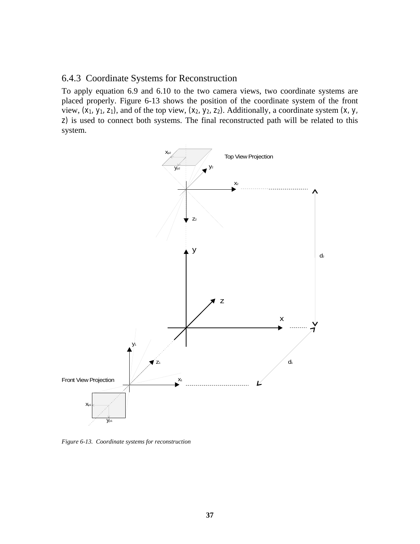#### 6.4.3 Coordinate Systems for Reconstruction

To apply equation 6.9 and 6.10 to the two camera views, two coordinate systems are placed properly. Figure 6-13 shows the position of the coordinate system of the front view, *(x1, y1, z1)*, and of the top view, *(x2, y2, z2)*. Additionally, a coordinate system *(x, y, z)* is used to connect both systems. The final reconstructed path will be related to this system.



*Figure 6-13. Coordinate systems for reconstruction*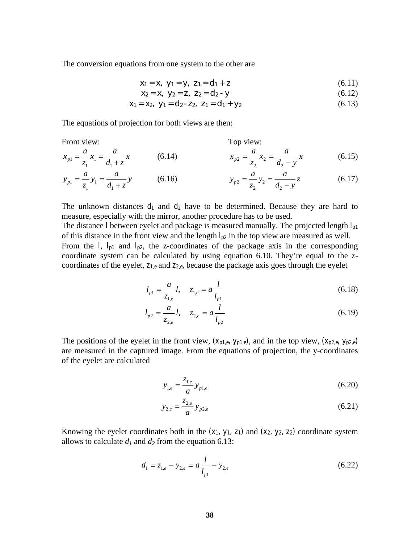The conversion equations from one system to the other are

$$
x_1 = x, \ y_1 = y, \ z_1 = d_1 + z \tag{6.11}
$$

$$
x_2 = x, \ y_2 = z, \ z_2 = d_2 - y \tag{6.12}
$$

$$
x_1 = x_2, \ y_1 = d_2 - z_2, \ z_1 = d_1 + y_2 \tag{6.13}
$$

The equations of projection for both views are then:

Front view:

\n
$$
x_{p1} = \frac{a}{z_1} x_1 = \frac{a}{d_1 + z} x
$$
\n(6.14)

\n
$$
x_{p2} = \frac{a}{z_2} x_2 = \frac{a}{d_2 - y} x
$$
\n(6.15)

$$
y_{p1} = \frac{a}{z_1} y_1 = \frac{a}{d_1 + z} y \qquad (6.16) \qquad y_{p2} = \frac{a}{z_2} y_2 = \frac{a}{d_2 - y} z \qquad (6.17)
$$

The unknown distances  $d_1$  and  $d_2$  have to be determined. Because they are hard to measure, especially with the mirror, another procedure has to be used.

The distance *l* between eyelet and package is measured manually. The projected length *lp1* of this distance in the front view and the length  $l_{p2}$  in the top view are measured as well. From the *l*,  $l_{p1}$  and  $l_{p2}$ , the z-coordinates of the package axis in the corresponding coordinate system can be calculated by using equation 6.10. They're equal to the zcoordinates of the eyelet, *z1,e* and *z2,e*, because the package axis goes through the eyelet

$$
l_{p1} = \frac{a}{z_{1,e}} l, \quad z_{1,e} = a \frac{l}{l_{p1}}
$$
 (6.18)

$$
l_{p2} = \frac{a}{z_{2,e}} l, \quad z_{2,e} = a \frac{l}{l_{p2}}
$$
 (6.19)

The positions of the eyelet in the front view,  $(x_{p1,e}, y_{p1,e})$ , and in the top view,  $(x_{p2,e}, y_{p2,e})$ are measured in the captured image. From the equations of projection, the y-coordinates of the eyelet are calculated

$$
y_{1,e} = \frac{z_{1,e}}{a} y_{p1,e}
$$
 (6.20)

$$
y_{2,e} = \frac{z_{2,e}}{a} y_{p2,e}
$$
 (6.21)

Knowing the eyelet coordinates both in the  $(x_1, y_1, z_1)$  and  $(x_2, y_2, z_2)$  coordinate system allows to calculate  $d_1$  and  $d_2$  from the equation 6.13:

$$
d_1 = z_{1,e} - y_{2,e} = a \frac{l}{l_{p1}} - y_{2,e}
$$
 (6.22)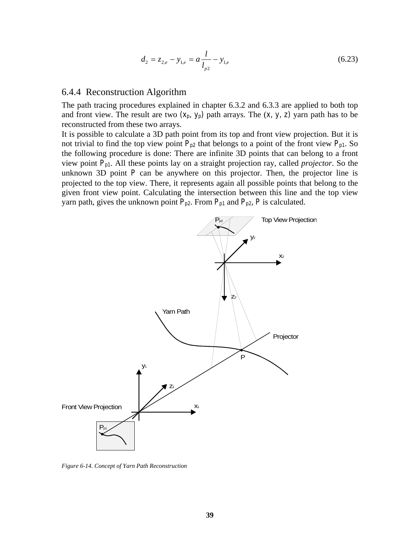$$
d_2 = z_{2,e} - y_{1,e} = a \frac{l}{l_{p2}} - y_{1,e}
$$
 (6.23)

#### 6.4.4 Reconstruction Algorithm

The path tracing procedures explained in chapter 6.3.2 and 6.3.3 are applied to both top and front view. The result are two  $(x_p, y_p)$  path arrays. The  $(x, y, z)$  yarn path has to be reconstructed from these two arrays.

It is possible to calculate a 3D path point from its top and front view projection. But it is not trivial to find the top view point  $P_{p2}$  that belongs to a point of the front view  $P_{p1}$ . So the following procedure is done: There are infinite 3D points that can belong to a front view point *Pp1*. All these points lay on a straight projection ray, called *projector*. So the unknown 3D point  $P$  can be anywhere on this projector. Then, the projector line is projected to the top view. There, it represents again all possible points that belong to the given front view point. Calculating the intersection between this line and the top view yarn path, gives the unknown point  $P_{p2}$ . From  $P_{p1}$  and  $P_{p2}$ ,  $P$  is calculated.



*Figure 6-14. Concept of Yarn Path Reconstruction*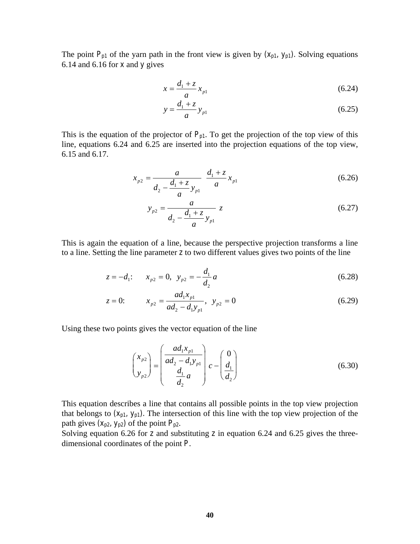The point  $P_{p1}$  of the yarn path in the front view is given by  $(x_{p1}, y_{p1})$ . Solving equations 6.14 and 6.16 for *x* and *y* gives

$$
x = \frac{d_1 + z}{a} x_{p1}
$$
 (6.24)

$$
y = \frac{d_1 + z}{a} y_{p1}
$$
 (6.25)

This is the equation of the projector of  $P_{p1}$ . To get the projection of the top view of this line, equations 6.24 and 6.25 are inserted into the projection equations of the top view, 6.15 and 6.17.

$$
x_{p2} = \frac{a}{d_2 - \frac{d_1 + z}{a} y_{p1}} \frac{d_1 + z}{a} x_{p1}
$$
 (6.26)

$$
y_{p2} = \frac{a}{d_2 - \frac{d_1 + z}{a} y_{p1}} z
$$
 (6.27)

This is again the equation of a line, because the perspective projection transforms a line to a line. Setting the line parameter *z* to two different values gives two points of the line

$$
z = -d_1: \t x_{p2} = 0, \t y_{p2} = -\frac{d_1}{d_2}a \t (6.28)
$$

$$
z = 0: \t x_{p2} = \frac{ad_1 x_{p1}}{ad_2 - d_1 y_{p1}}, \t y_{p2} = 0 \t (6.29)
$$

Using these two points gives the vector equation of the line

$$
\begin{pmatrix} x_{p2} \\ y_{p2} \end{pmatrix} = \begin{pmatrix} ad_1x_{p1} \\ ad_2 - d_1y_{p1} \\ \frac{d_1}{d_2}a \end{pmatrix} c - \begin{pmatrix} 0 \\ \frac{d_1}{d_2} \end{pmatrix}
$$
(6.30)

This equation describes a line that contains all possible points in the top view projection that belongs to  $(x_{p1}, y_{p1})$ . The intersection of this line with the top view projection of the path gives  $(X_{p2}, Y_{p2})$  of the point  $P_{p2}$ .

Solving equation 6.26 for *z* and substituting *z* in equation 6.24 and 6.25 gives the threedimensional coordinates of the point *P*.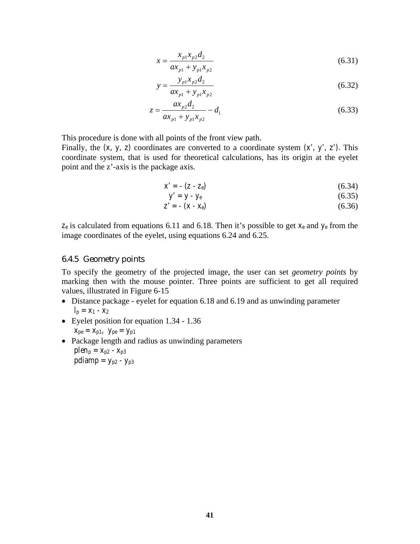$$
x = \frac{x_{p1}x_{p2}d_2}{ax_{p1} + y_{p1}x_{p2}}
$$
 (6.31)

$$
y = \frac{y_{p1}x_{p2}d_2}{ax_{p1} + y_{p1}x_{p2}}
$$
 (6.32)

$$
z = \frac{ax_{p2}d_2}{ax_{p1} + y_{p1}x_{p2}} - d_1
$$
 (6.33)

This procedure is done with all points of the front view path.

Finally, the  $(x, y, z)$  coordinates are converted to a coordinate system  $(x', y', z')$ . This coordinate system, that is used for theoretical calculations, has its origin at the eyelet point and the z'-axis is the package axis.

$$
x' = -\left(z - z_e\right) \tag{6.34}
$$

$$
y' = y - y_e \tag{6.35}
$$

$$
z' = - (x - x_e) \tag{6.36}
$$

*ze* is calculated from equations 6.11 and 6.18. Then it's possible to get *xe* and *ye* from the image coordinates of the eyelet, using equations 6.24 and 6.25.

#### 6.4.5 Geometry points

To specify the geometry of the projected image, the user can set *geometry points* by marking then with the mouse pointer. Three points are sufficient to get all required values, illustrated in Figure 6-15

- Distance package eyelet for equation 6.18 and 6.19 and as unwinding parameter  $l_p = x_1 - x_2$
- Eyelet position for equation 1.34 1.36

$$
X_{pe} = X_{p1}, \ \ y_{pe} = y_{p1}
$$

• Package length and radius as unwinding parameters *plen<sub>p</sub>* =  $X_{p2} - X_{p3}$ *pdiamp* =  $y_{p2} - y_{p3}$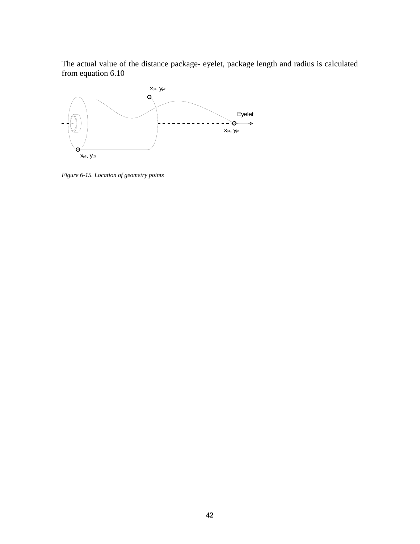The actual value of the distance package- eyelet, package length and radius is calculated from equation 6.10



*Figure 6-15. Location of geometry points*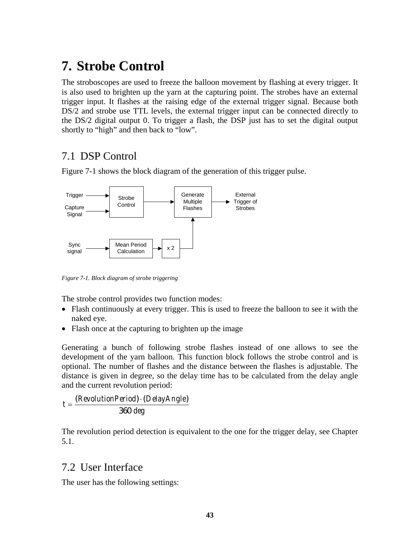## **7. Strobe Control**

The stroboscopes are used to freeze the balloon movement by flashing at every trigger. It is also used to brighten up the yarn at the capturing point. The strobes have an external trigger input. It flashes at the raising edge of the external trigger signal. Because both DS/2 and strobe use TTL levels, the external trigger input can be connected directly to the DS/2 digital output 0. To trigger a flash, the DSP just has to set the digital output shortly to "high" and then back to "low".

## 7.1 DSP Control

Figure 7-1 shows the block diagram of the generation of this trigger pulse.



*Figure 7-1. Block diagram of strobe triggering* 

The strobe control provides two function modes:

- Flash continuously at every trigger. This is used to freeze the balloon to see it with the naked eye.
- Flash once at the capturing to brighten up the image

Generating a bunch of following strobe flashes instead of one allows to see the development of the yarn balloon. This function block follows the strobe control and is optional. The number of flashes and the distance between the flashes is adjustable. The distance is given in degree, so the delay time has to be calculated from the delay angle and the current revolution period:

$$
t = \frac{(RevolutionPeriod) \cdot (DelayAngle)}{360 \text{ deg}}
$$

The revolution period detection is equivalent to the one for the trigger delay, see Chapter 5.1.

## 7.2 User Interface

The user has the following settings: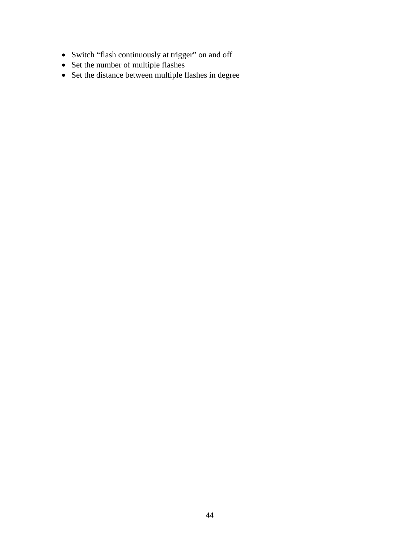- Switch "flash continuously at trigger" on and off
- Set the number of multiple flashes
- Set the distance between multiple flashes in degree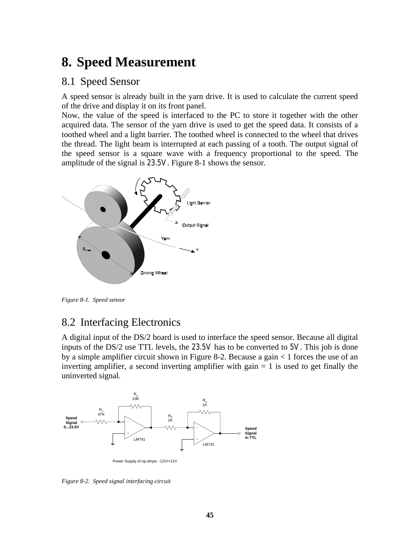## **8. Speed Measurement**

### 8.1 Speed Sensor

A speed sensor is already built in the yarn drive. It is used to calculate the current speed of the drive and display it on its front panel.

Now, the value of the speed is interfaced to the PC to store it together with the other acquired data. The sensor of the yarn drive is used to get the speed data. It consists of a toothed wheel and a light barrier. The toothed wheel is connected to the wheel that drives the thread. The light beam is interrupted at each passing of a tooth. The output signal of the speed sensor is a square wave with a frequency proportional to the speed. The amplitude of the signal is *23.5V*. Figure 8-1 shows the sensor.



*Figure 8-1. Speed sensor* 

## 8.2 Interfacing Electronics

A digital input of the DS/2 board is used to interface the speed sensor. Because all digital inputs of the DS/2 use TTL levels, the *23.5V* has to be converted to *5V*. This job is done by a simple amplifier circuit shown in Figure 8-2. Because a gain < 1 forces the use of an inverting amplifier, a second inverting amplifier with gain  $= 1$  is used to get finally the uninverted signal.



*Figure 8-2. Speed signal interfacing circuit*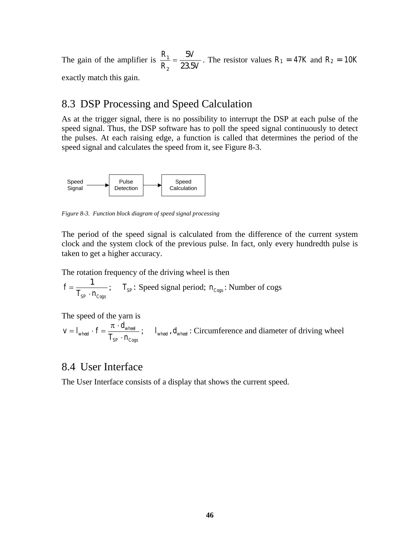The gain of the amplifier is  $\frac{R}{R}$ *R V V* 1 2  $=\frac{5V}{23.5V}$ . The resistor values  $R_1 = 47K$  and  $R_2 = 10K$ 

exactly match this gain.

### 8.3 DSP Processing and Speed Calculation

As at the trigger signal, there is no possibility to interrupt the DSP at each pulse of the speed signal. Thus, the DSP software has to poll the speed signal continuously to detect the pulses. At each raising edge, a function is called that determines the period of the speed signal and calculates the speed from it, see Figure 8-3.



*Figure 8-3. Function block diagram of speed signal processing* 

The period of the speed signal is calculated from the difference of the current system clock and the system clock of the previous pulse. In fact, only every hundredth pulse is taken to get a higher accuracy.

The rotation frequency of the driving wheel is then

$$
f = \frac{1}{T_{SP} \cdot n_{Cogs}}
$$
;  $T_{SP}$ : Speed signal period;  $n_{Cogs}$ : Number of cogs

The speed of the yarn is

$$
v = I_{wheel} \cdot f = \frac{\pi \cdot d_{wheel}}{T_{SP} \cdot n_{Cogs}}; \qquad I_{wheel}, d_{wheel} : Circumference and diameter of driving wheel
$$

### 8.4 User Interface

The User Interface consists of a display that shows the current speed.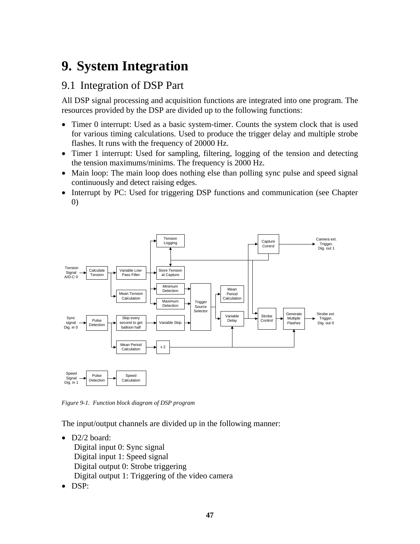# **9. System Integration**

## 9.1 Integration of DSP Part

All DSP signal processing and acquisition functions are integrated into one program. The resources provided by the DSP are divided up to the following functions:

- Timer 0 interrupt: Used as a basic system-timer. Counts the system clock that is used for various timing calculations. Used to produce the trigger delay and multiple strobe flashes. It runs with the frequency of 20000 Hz.
- Timer 1 interrupt: Used for sampling, filtering, logging of the tension and detecting the tension maximums/minims. The frequency is 2000 Hz.
- Main loop: The main loop does nothing else than polling sync pulse and speed signal continuously and detect raising edges.
- Interrupt by PC: Used for triggering DSP functions and communication (see Chapter 0)



*Figure 9-1. Function block diagram of DSP program* 

The input/output channels are divided up in the following manner:

• D2/2 board:

Digital input 0: Sync signal Digital input 1: Speed signal Digital output 0: Strobe triggering Digital output 1: Triggering of the video camera

• DSP: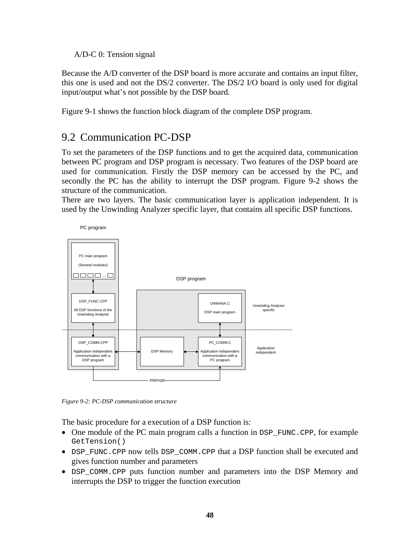A/D-C 0: Tension signal

Because the A/D converter of the DSP board is more accurate and contains an input filter, this one is used and not the DS/2 converter. The DS/2 I/O board is only used for digital input/output what's not possible by the DSP board.

Figure 9-1 shows the function block diagram of the complete DSP program.

## 9.2 Communication PC-DSP

To set the parameters of the DSP functions and to get the acquired data, communication between PC program and DSP program is necessary. Two features of the DSP board are used for communication. Firstly the DSP memory can be accessed by the PC, and secondly the PC has the ability to interrupt the DSP program. Figure 9-2 shows the structure of the communication.

There are two layers. The basic communication layer is application independent. It is used by the Unwinding Analyzer specific layer, that contains all specific DSP functions.



*Figure 9-2: PC-DSP communication structure* 

The basic procedure for a execution of a DSP function is:

- One module of the PC main program calls a function in DSP\_FUNC.CPP, for example GetTension()
- DSP\_FUNC.CPP now tells DSP\_COMM.CPP that a DSP function shall be executed and gives function number and parameters
- DSP\_COMM.CPP puts function number and parameters into the DSP Memory and interrupts the DSP to trigger the function execution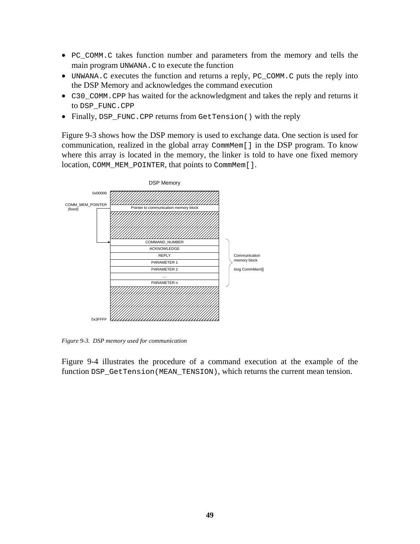- PC\_COMM.C takes function number and parameters from the memory and tells the main program UNWANA.C to execute the function
- UNWANA.C executes the function and returns a reply, PC\_COMM.C puts the reply into the DSP Memory and acknowledges the command execution
- C30 COMM.CPP has waited for the acknowledgment and takes the reply and returns it to DSP\_FUNC.CPP
- Finally, DSP\_FUNC.CPP returns from GetTension() with the reply

Figure 9-3 shows how the DSP memory is used to exchange data. One section is used for communication, realized in the global array CommMem[] in the DSP program. To know where this array is located in the memory, the linker is told to have one fixed memory location, COMM\_MEM\_POINTER, that points to CommMem[].



*Figure 9-3. DSP memory used for communication* 

Figure 9-4 illustrates the procedure of a command execution at the example of the function DSP GetTension(MEAN TENSION), which returns the current mean tension.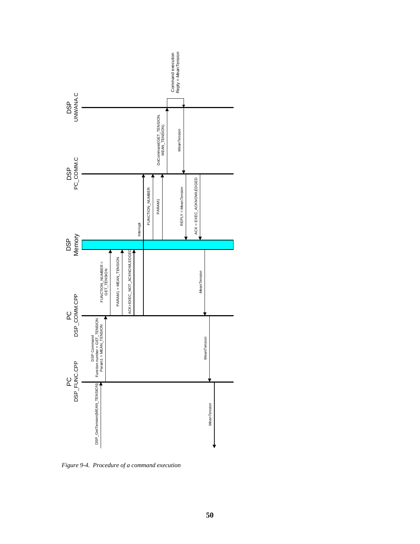

*Figure 9-4. Procedure of a command execution*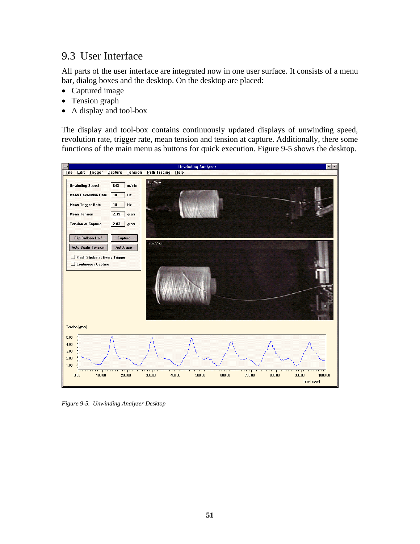## 9.3 User Interface

All parts of the user interface are integrated now in one user surface. It consists of a menu bar, dialog boxes and the desktop. On the desktop are placed:

- Captured image
- Tension graph
- A display and tool-box

The display and tool-box contains continuously updated displays of unwinding speed, revolution rate, trigger rate, mean tension and tension at capture. Additionally, there some functions of the main menu as buttons for quick execution. Figure 9-5 shows the desktop.



*Figure 9-5. Unwinding Analyzer Desktop*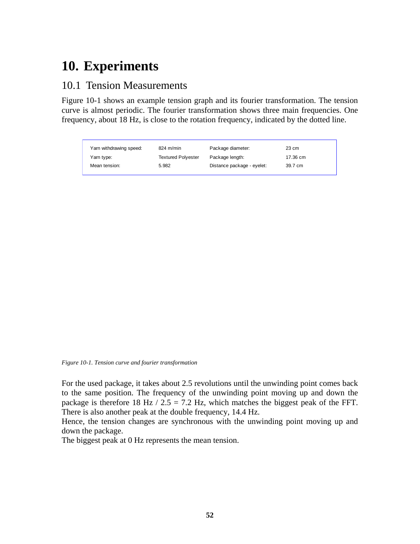## **10. Experiments**

### 10.1 Tension Measurements

Figure 10-1 shows an example tension graph and its fourier transformation. The tension curve is almost periodic. The fourier transformation shows three main frequencies. One frequency, about 18 Hz, is close to the rotation frequency, indicated by the dotted line.

| Yarn withdrawing speed: | $824 \text{ m/min}$ | Package diameter:          | 23 cm    |
|-------------------------|---------------------|----------------------------|----------|
| Yarn type:              | Textured Polyester  | Package length:            | 17.36 cm |
| Mean tension:           | 5.982               | Distance package - eyelet: | 39.7 cm  |

*Figure 10-1. Tension curve and fourier transformation* 

For the used package, it takes about 2.5 revolutions until the unwinding point comes back to the same position. The frequency of the unwinding point moving up and down the package is therefore 18 Hz /  $2.5 = 7.2$  Hz, which matches the biggest peak of the FFT. There is also another peak at the double frequency, 14.4 Hz.

Hence, the tension changes are synchronous with the unwinding point moving up and down the package.

The biggest peak at 0 Hz represents the mean tension.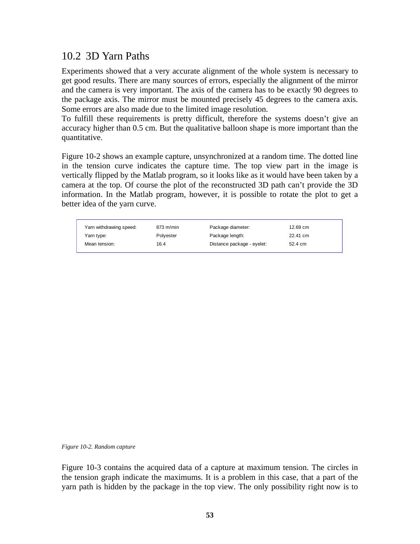## 10.2 3D Yarn Paths

Experiments showed that a very accurate alignment of the whole system is necessary to get good results. There are many sources of errors, especially the alignment of the mirror and the camera is very important. The axis of the camera has to be exactly 90 degrees to the package axis. The mirror must be mounted precisely 45 degrees to the camera axis. Some errors are also made due to the limited image resolution.

To fulfill these requirements is pretty difficult, therefore the systems doesn't give an accuracy higher than 0.5 cm. But the qualitative balloon shape is more important than the quantitative.

Figure 10-2 shows an example capture, unsynchronized at a random time. The dotted line in the tension curve indicates the capture time. The top view part in the image is vertically flipped by the Matlab program, so it looks like as it would have been taken by a camera at the top. Of course the plot of the reconstructed 3D path can't provide the 3D information. In the Matlab program, however, it is possible to rotate the plot to get a better idea of the yarn curve.

| Yarn withdrawing speed: | $873 \text{ m/min}$ | Package diameter:          | 12.69 cm |
|-------------------------|---------------------|----------------------------|----------|
| Yarn type:              | Polvester           | Package length:            | 22.41 cm |
| Mean tension:           | 16.4                | Distance package - eyelet: | 52.4 cm  |

*Figure 10-2. Random capture* 

Figure 10-3 contains the acquired data of a capture at maximum tension. The circles in the tension graph indicate the maximums. It is a problem in this case, that a part of the yarn path is hidden by the package in the top view. The only possibility right now is to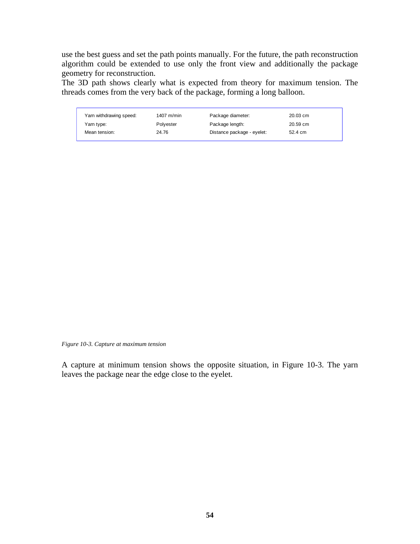use the best guess and set the path points manually. For the future, the path reconstruction algorithm could be extended to use only the front view and additionally the package geometry for reconstruction.

The 3D path shows clearly what is expected from theory for maximum tension. The threads comes from the very back of the package, forming a long balloon.

| Yarn withdrawing speed: | 1407 m/min | Package diameter:          | 20.03 cm |
|-------------------------|------------|----------------------------|----------|
| Yarn type:              | Polvester  | Package length:            | 20.59 cm |
| Mean tension:           | 24.76      | Distance package - eyelet: | 52.4 cm  |

*Figure 10-3. Capture at maximum tension* 

A capture at minimum tension shows the opposite situation, in Figure 10-3. The yarn leaves the package near the edge close to the eyelet.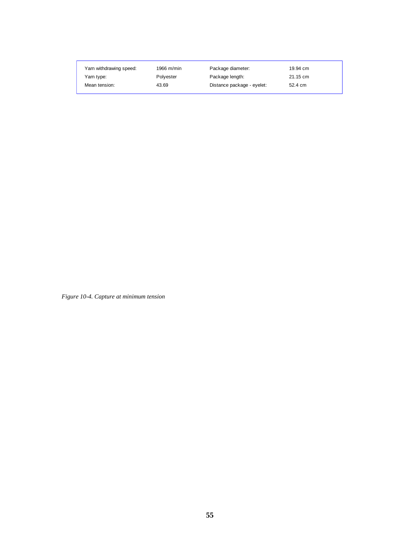| Yarn withdrawing speed: | 1966 $m/min$ | Package diameter:          | 19.94 cm |  |
|-------------------------|--------------|----------------------------|----------|--|
| Yarn type:              | Polvester    | Package length:            | 21.15 cm |  |
| Mean tension:           | 43.69        | Distance package - eyelet: | 52.4 cm  |  |

*Figure 10-4. Capture at minimum tension*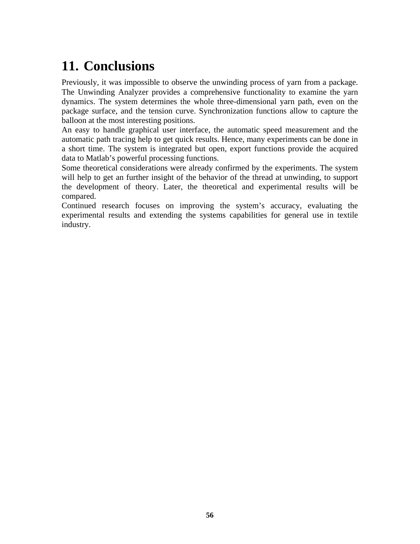# **11. Conclusions**

Previously, it was impossible to observe the unwinding process of yarn from a package. The Unwinding Analyzer provides a comprehensive functionality to examine the yarn dynamics. The system determines the whole three-dimensional yarn path, even on the package surface, and the tension curve. Synchronization functions allow to capture the balloon at the most interesting positions.

An easy to handle graphical user interface, the automatic speed measurement and the automatic path tracing help to get quick results. Hence, many experiments can be done in a short time. The system is integrated but open, export functions provide the acquired data to Matlab's powerful processing functions.

Some theoretical considerations were already confirmed by the experiments. The system will help to get an further insight of the behavior of the thread at unwinding, to support the development of theory. Later, the theoretical and experimental results will be compared.

Continued research focuses on improving the system's accuracy, evaluating the experimental results and extending the systems capabilities for general use in textile industry.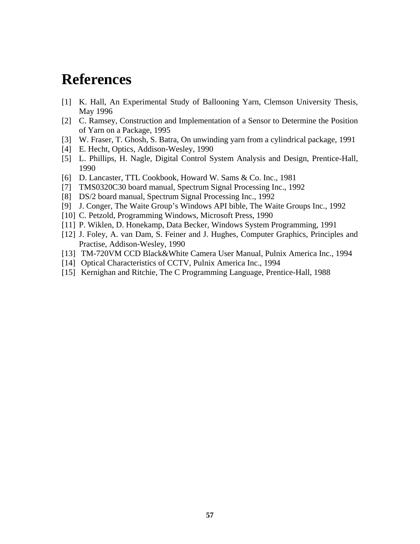## **References**

- [1] K. Hall, An Experimental Study of Ballooning Yarn, Clemson University Thesis, May 1996
- [2] C. Ramsey, Construction and Implementation of a Sensor to Determine the Position of Yarn on a Package, 1995
- [3] W. Fraser, T. Ghosh, S. Batra, On unwinding yarn from a cylindrical package, 1991
- [4] E. Hecht, Optics, Addison-Wesley, 1990
- [5] L. Phillips, H. Nagle, Digital Control System Analysis and Design, Prentice-Hall, 1990
- [6] D. Lancaster, TTL Cookbook, Howard W. Sams & Co. Inc., 1981
- [7] TMS0320C30 board manual, Spectrum Signal Processing Inc., 1992
- [8] DS/2 board manual, Spectrum Signal Processing Inc., 1992
- [9] J. Conger, The Waite Group's Windows API bible, The Waite Groups Inc., 1992
- [10] C. Petzold, Programming Windows, Microsoft Press, 1990
- [11] P. Wiklen, D. Honekamp, Data Becker, Windows System Programming, 1991
- [12] J. Foley, A. van Dam, S. Feiner and J. Hughes, Computer Graphics, Principles and Practise, Addison-Wesley, 1990
- [13] TM-720VM CCD Black&White Camera User Manual, Pulnix America Inc., 1994
- [14] Optical Characteristics of CCTV, Pulnix America Inc., 1994
- [15] Kernighan and Ritchie, The C Programming Language, Prentice-Hall, 1988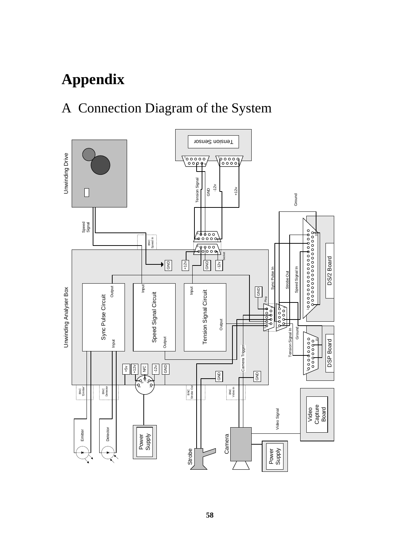# **Appendix**

## A Connection Diagram of the System

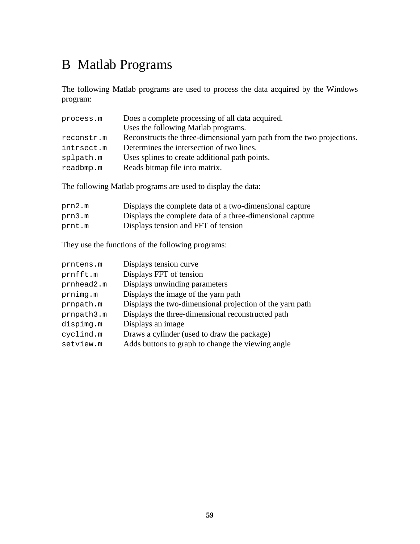## B Matlab Programs

The following Matlab programs are used to process the data acquired by the Windows program:

| process.m  | Does a complete processing of all data acquired.                       |
|------------|------------------------------------------------------------------------|
|            | Uses the following Matlab programs.                                    |
| reconstr.m | Reconstructs the three-dimensional yarn path from the two projections. |
| intrsect.m | Determines the intersection of two lines.                              |
| splpath.m  | Uses splines to create additional path points.                         |
| readbmp.m  | Reads bitmap file into matrix.                                         |

The following Matlab programs are used to display the data:

| prn2.m | Displays the complete data of a two-dimensional capture   |
|--------|-----------------------------------------------------------|
| prn3.m | Displays the complete data of a three-dimensional capture |
| prnt.m | Displays tension and FFT of tension                       |

They use the functions of the following programs:

| prntens.m  | Displays tension curve                                   |
|------------|----------------------------------------------------------|
| prnfft.m   | Displays FFT of tension                                  |
| prnhead2.m | Displays unwinding parameters                            |
| prnimg.m   | Displays the image of the yarn path                      |
| prnpath.m  | Displays the two-dimensional projection of the yarn path |
| prnpath3.m | Displays the three-dimensional reconstructed path        |
| dispimg.m  | Displays an image                                        |
| cyclind.m  | Draws a cylinder (used to draw the package)              |
| setview.m  | Adds buttons to graph to change the viewing angle        |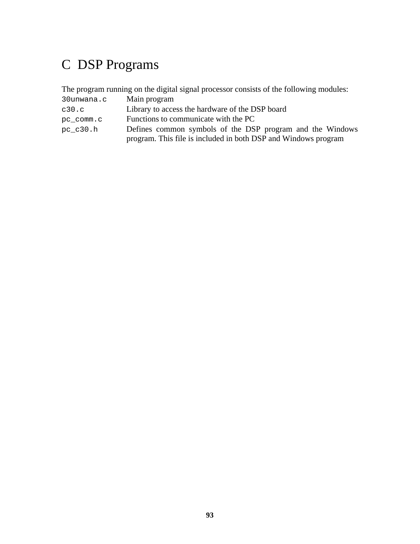## C DSP Programs

The program running on the digital signal processor consists of the following modules:

| 30unwana.c | Main program                                                   |
|------------|----------------------------------------------------------------|
| c30.c      | Library to access the hardware of the DSP board                |
| pc comm.c  | Functions to communicate with the PC                           |
| pc c30.h   | Defines common symbols of the DSP program and the Windows      |
|            | program. This file is included in both DSP and Windows program |